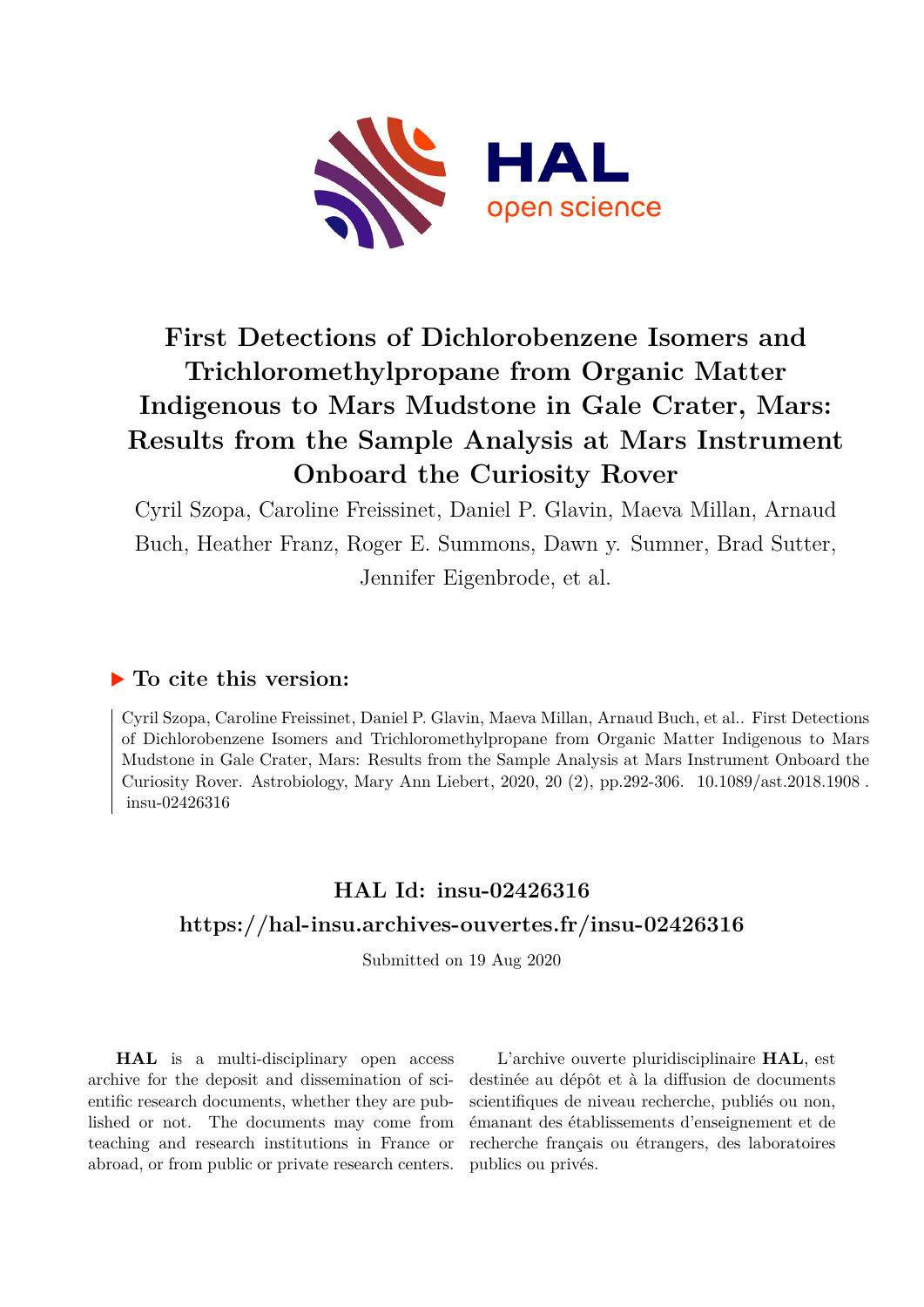

# **First Detections of Dichlorobenzene Isomers and Trichloromethylpropane from Organic Matter Indigenous to Mars Mudstone in Gale Crater, Mars: Results from the Sample Analysis at Mars Instrument Onboard the Curiosity Rover**

Cyril Szopa, Caroline Freissinet, Daniel P. Glavin, Maeva Millan, Arnaud Buch, Heather Franz, Roger E. Summons, Dawn y. Sumner, Brad Sutter, Jennifer Eigenbrode, et al.

## **To cite this version:**

Cyril Szopa, Caroline Freissinet, Daniel P. Glavin, Maeva Millan, Arnaud Buch, et al.. First Detections of Dichlorobenzene Isomers and Trichloromethylpropane from Organic Matter Indigenous to Mars Mudstone in Gale Crater, Mars: Results from the Sample Analysis at Mars Instrument Onboard the Curiosity Rover. Astrobiology, Mary Ann Liebert, 2020, 20 (2), pp. 292-306. 10.1089/ast. 2018.1908. insu-02426316

## **HAL Id: insu-02426316 <https://hal-insu.archives-ouvertes.fr/insu-02426316>**

Submitted on 19 Aug 2020

**HAL** is a multi-disciplinary open access archive for the deposit and dissemination of scientific research documents, whether they are published or not. The documents may come from teaching and research institutions in France or abroad, or from public or private research centers.

L'archive ouverte pluridisciplinaire **HAL**, est destinée au dépôt et à la diffusion de documents scientifiques de niveau recherche, publiés ou non, émanant des établissements d'enseignement et de recherche français ou étrangers, des laboratoires publics ou privés.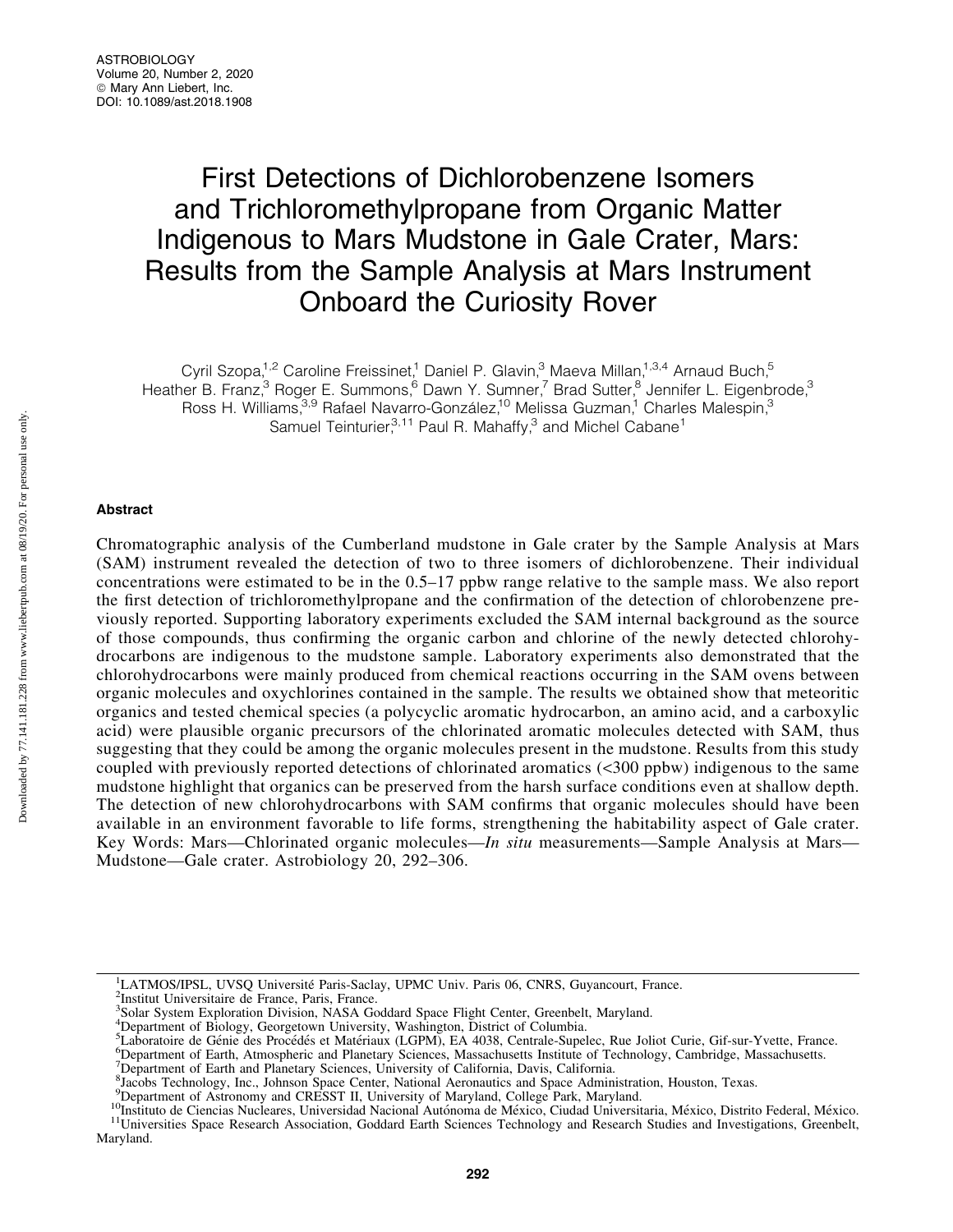## First Detections of Dichlorobenzene Isomers and Trichloromethylpropane from Organic Matter Indigenous to Mars Mudstone in Gale Crater, Mars: Results from the Sample Analysis at Mars Instrument Onboard the Curiosity Rover

Cyril Szopa,<sup>1,2</sup> Caroline Freissinet,<sup>1</sup> Daniel P. Glavin,<sup>3</sup> Maeva Millan,<sup>1,3,4</sup> Arnaud Buch,<sup>5</sup> Heather B. Franz,<sup>3</sup> Roger E. Summons,<sup>6</sup> Dawn Y. Sumner,<sup>7</sup> Brad Sutter,<sup>8</sup> Jennifer L. Eigenbrode,<sup>3</sup> Ross H. Williams,<sup>3,9</sup> Rafael Navarro-González,<sup>10</sup> Melissa Guzman,<sup>1</sup> Charles Malespin,<sup>3</sup> Samuel Teinturier, $^{3,11}$  Paul R. Mahaffy, $^3$  and Michel Cabane<sup>1</sup>

## Abstract

Chromatographic analysis of the Cumberland mudstone in Gale crater by the Sample Analysis at Mars (SAM) instrument revealed the detection of two to three isomers of dichlorobenzene. Their individual concentrations were estimated to be in the 0.5–17 ppbw range relative to the sample mass. We also report the first detection of trichloromethylpropane and the confirmation of the detection of chlorobenzene previously reported. Supporting laboratory experiments excluded the SAM internal background as the source of those compounds, thus confirming the organic carbon and chlorine of the newly detected chlorohydrocarbons are indigenous to the mudstone sample. Laboratory experiments also demonstrated that the chlorohydrocarbons were mainly produced from chemical reactions occurring in the SAM ovens between organic molecules and oxychlorines contained in the sample. The results we obtained show that meteoritic organics and tested chemical species (a polycyclic aromatic hydrocarbon, an amino acid, and a carboxylic acid) were plausible organic precursors of the chlorinated aromatic molecules detected with SAM, thus suggesting that they could be among the organic molecules present in the mudstone. Results from this study coupled with previously reported detections of chlorinated aromatics (<300 ppbw) indigenous to the same mudstone highlight that organics can be preserved from the harsh surface conditions even at shallow depth. The detection of new chlorohydrocarbons with SAM confirms that organic molecules should have been available in an environment favorable to life forms, strengthening the habitability aspect of Gale crater. Key Words: Mars—Chlorinated organic molecules—*In situ* measurements—Sample Analysis at Mars— Mudstone—Gale crater. Astrobiology 20, 292–306.

Pepartment of Astronomy and CRESST II, University of Maryland, College Park, Maryland.

<sup>&</sup>lt;sup>1</sup>LATMOS/IPSL, UVSQ Université Paris-Saclay, UPMC Univ. Paris 06, CNRS, Guyancourt, France.

<sup>&</sup>lt;sup>2</sup>Institut Universitaire de France, Paris, France.

<sup>&</sup>lt;sup>3</sup>Solar System Exploration Division, NASA Goddard Space Flight Center, Greenbelt, Maryland.

<sup>&</sup>lt;sup>4</sup>Department of Biology, Georgetown University, Washington, District of Columbia.

<sup>&</sup>lt;sup>5</sup>Laboratoire de Génie des Procédés et Matériaux (LGPM), EA 4038, Centrale-Supelec, Rue Joliot Curie, Gif-sur-Yvette, France.<br><sup>6</sup>Department of Earth, Atmospheric and Planetary Sciences, Massachusetts Institute of Technolo

Department of Earth, Atmospheric and Planetary Sciences, Massachusetts Institute of Technology, Cambridge, Massachusetts.

<sup>&</sup>lt;sup>7</sup>Department of Earth and Planetary Sciences, University of California, Davis, California.

<sup>&</sup>lt;sup>8</sup>Jacobs Technology, Inc., Johnson Space Center, National Aeronautics and Space Administration, Houston, Texas.

<sup>&</sup>lt;sup>10</sup>Instituto de Ciencias Nucleares, Universidad Nacional Autónoma de México, Ciudad Universitaria, México, Distrito Federal, México.<br><sup>11</sup>Universities Space Research Association, Goddard Earth Sciences Technology and Rese Maryland.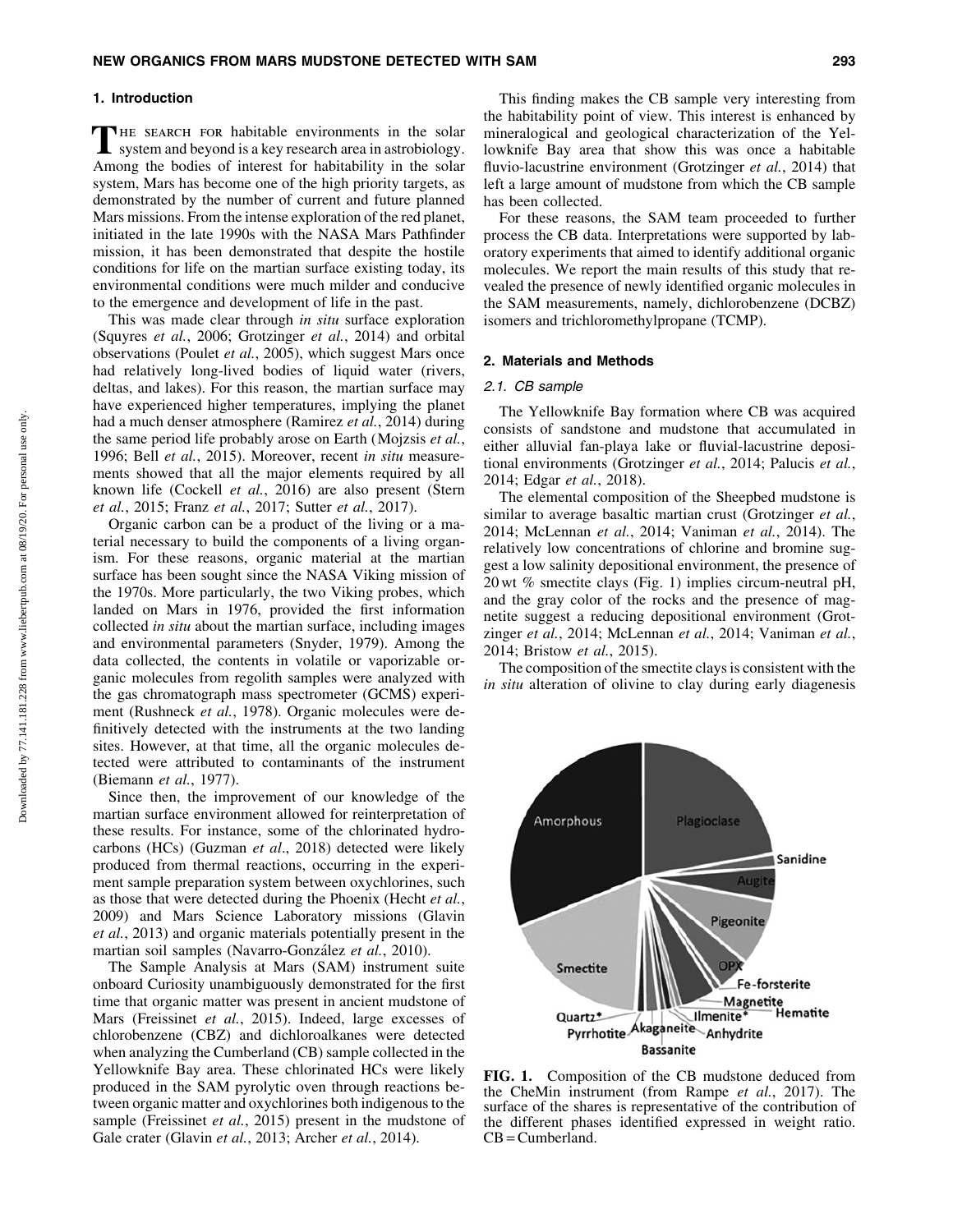#### 1. Introduction

THE SEARCH FOR habitable environments in the solar system and beyond is a key research area in astrobiology. Among the bodies of interest for habitability in the solar system, Mars has become one of the high priority targets, as demonstrated by the number of current and future planned Mars missions. From the intense exploration of the red planet, initiated in the late 1990s with the NASA Mars Pathfinder mission, it has been demonstrated that despite the hostile conditions for life on the martian surface existing today, its environmental conditions were much milder and conducive to the emergence and development of life in the past.

This was made clear through *in situ* surface exploration (Squyres *et al.*, 2006; Grotzinger *et al.*, 2014) and orbital observations (Poulet *et al.*, 2005), which suggest Mars once had relatively long-lived bodies of liquid water (rivers, deltas, and lakes). For this reason, the martian surface may have experienced higher temperatures, implying the planet had a much denser atmosphere (Ramirez *et al.*, 2014) during the same period life probably arose on Earth (Mojzsis *et al.*, 1996; Bell *et al.*, 2015). Moreover, recent *in situ* measurements showed that all the major elements required by all known life (Cockell *et al.*, 2016) are also present (Stern *et al.*, 2015; Franz *et al.*, 2017; Sutter *et al.*, 2017).

Organic carbon can be a product of the living or a material necessary to build the components of a living organism. For these reasons, organic material at the martian surface has been sought since the NASA Viking mission of the 1970s. More particularly, the two Viking probes, which landed on Mars in 1976, provided the first information collected *in situ* about the martian surface, including images and environmental parameters (Snyder, 1979). Among the data collected, the contents in volatile or vaporizable organic molecules from regolith samples were analyzed with the gas chromatograph mass spectrometer (GCMS) experiment (Rushneck *et al.*, 1978). Organic molecules were definitively detected with the instruments at the two landing sites. However, at that time, all the organic molecules detected were attributed to contaminants of the instrument (Biemann *et al.*, 1977).

Since then, the improvement of our knowledge of the martian surface environment allowed for reinterpretation of these results. For instance, some of the chlorinated hydrocarbons (HCs) (Guzman *et al*., 2018) detected were likely produced from thermal reactions, occurring in the experiment sample preparation system between oxychlorines, such as those that were detected during the Phoenix (Hecht *et al.*, 2009) and Mars Science Laboratory missions (Glavin *et al.*, 2013) and organic materials potentially present in the martian soil samples (Navarro-González et al., 2010).

The Sample Analysis at Mars (SAM) instrument suite onboard Curiosity unambiguously demonstrated for the first time that organic matter was present in ancient mudstone of Mars (Freissinet *et al.*, 2015). Indeed, large excesses of chlorobenzene (CBZ) and dichloroalkanes were detected when analyzing the Cumberland (CB) sample collected in the Yellowknife Bay area. These chlorinated HCs were likely produced in the SAM pyrolytic oven through reactions between organic matter and oxychlorines both indigenous to the sample (Freissinet *et al.*, 2015) present in the mudstone of Gale crater (Glavin *et al.*, 2013; Archer *et al.*, 2014).

This finding makes the CB sample very interesting from the habitability point of view. This interest is enhanced by mineralogical and geological characterization of the Yellowknife Bay area that show this was once a habitable fluvio-lacustrine environment (Grotzinger *et al.*, 2014) that left a large amount of mudstone from which the CB sample has been collected.

For these reasons, the SAM team proceeded to further process the CB data. Interpretations were supported by laboratory experiments that aimed to identify additional organic molecules. We report the main results of this study that revealed the presence of newly identified organic molecules in the SAM measurements, namely, dichlorobenzene (DCBZ) isomers and trichloromethylpropane (TCMP).

### 2. Materials and Methods

#### 2.1. CB sample

The Yellowknife Bay formation where CB was acquired consists of sandstone and mudstone that accumulated in either alluvial fan-playa lake or fluvial-lacustrine depositional environments (Grotzinger *et al.*, 2014; Palucis *et al.*, 2014; Edgar *et al.*, 2018).

The elemental composition of the Sheepbed mudstone is similar to average basaltic martian crust (Grotzinger *et al.*, 2014; McLennan *et al.*, 2014; Vaniman *et al.*, 2014). The relatively low concentrations of chlorine and bromine suggest a low salinity depositional environment, the presence of 20 wt % smectite clays (Fig. 1) implies circum-neutral pH, and the gray color of the rocks and the presence of magnetite suggest a reducing depositional environment (Grotzinger *et al.*, 2014; McLennan *et al.*, 2014; Vaniman *et al.*, 2014; Bristow *et al.*, 2015).

The composition of the smectite clays is consistent with the *in situ* alteration of olivine to clay during early diagenesis



FIG. 1. Composition of the CB mudstone deduced from the CheMin instrument (from Rampe *et al.*, 2017). The surface of the shares is representative of the contribution of the different phases identified expressed in weight ratio.  $CB =$ Cumberland.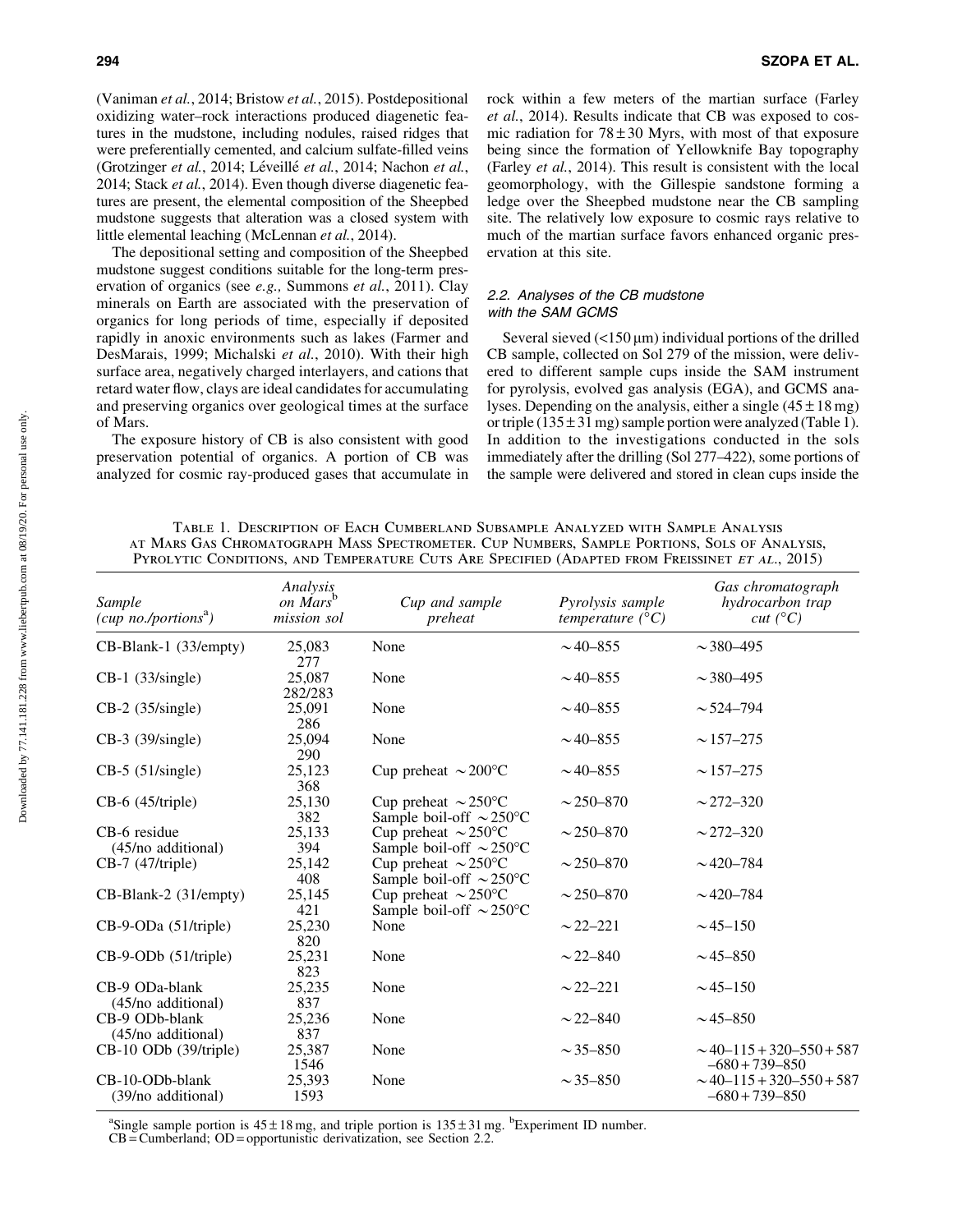(Vaniman *et al.*, 2014; Bristow *et al.*, 2015). Postdepositional oxidizing water–rock interactions produced diagenetic features in the mudstone, including nodules, raised ridges that were preferentially cemented, and calcium sulfate-filled veins (Grotzinger *et al.*, 2014; Léveillé *et al.*, 2014; Nachon *et al.*, 2014; Stack *et al.*, 2014). Even though diverse diagenetic features are present, the elemental composition of the Sheepbed mudstone suggests that alteration was a closed system with little elemental leaching (McLennan *et al.*, 2014).

The depositional setting and composition of the Sheepbed mudstone suggest conditions suitable for the long-term preservation of organics (see *e.g.,* Summons *et al.*, 2011). Clay minerals on Earth are associated with the preservation of organics for long periods of time, especially if deposited rapidly in anoxic environments such as lakes (Farmer and DesMarais, 1999; Michalski *et al.*, 2010). With their high surface area, negatively charged interlayers, and cations that retard water flow, clays are ideal candidates for accumulating and preserving organics over geological times at the surface of Mars.

The exposure history of CB is also consistent with good preservation potential of organics. A portion of CB was analyzed for cosmic ray-produced gases that accumulate in rock within a few meters of the martian surface (Farley *et al.*, 2014). Results indicate that CB was exposed to cosmic radiation for  $78 \pm 30$  Myrs, with most of that exposure being since the formation of Yellowknife Bay topography (Farley *et al.*, 2014). This result is consistent with the local geomorphology, with the Gillespie sandstone forming a ledge over the Sheepbed mudstone near the CB sampling site. The relatively low exposure to cosmic rays relative to much of the martian surface favors enhanced organic preservation at this site.

## 2.2. Analyses of the CB mudstone with the SAM GCMS

Several sieved  $\left($ <150  $\mu$ m) individual portions of the drilled CB sample, collected on Sol 279 of the mission, were delivered to different sample cups inside the SAM instrument for pyrolysis, evolved gas analysis (EGA), and GCMS analyses. Depending on the analysis, either a single  $(45 \pm 18 \text{ mg})$ or triple (135  $\pm$  31 mg) sample portion were analyzed (Table 1). In addition to the investigations conducted in the sols immediately after the drilling (Sol 277–422), some portions of the sample were delivered and stored in clean cups inside the

Table 1. Description of Each Cumberland Subsample Analyzed with Sample Analysis at Mars Gas Chromatograph Mass Spectrometer. Cup Numbers, Sample Portions, Sols of Analysis, PYROLYTIC CONDITIONS, AND TEMPERATURE CUTS ARE SPECIFIED (ADAPTED FROM FREISSINET ET AL., 2015)

| Sample<br>$(cup no.$ /portions <sup>a</sup> ) | Analysis<br>on Mars <sup>b</sup><br>mission sol | Cup and sample<br>preheat                                          | Pyrolysis sample<br>temperature $(^{\circ}C)$ | Gas chromatograph<br>hydrocarbon trap<br>cut $(^{\circ}C)$ |
|-----------------------------------------------|-------------------------------------------------|--------------------------------------------------------------------|-----------------------------------------------|------------------------------------------------------------|
| CB-Blank-1 (33/empty)                         | 25,083<br>277                                   | None                                                               | $\sim$ 40–855                                 | $\sim$ 380–495                                             |
| $CB-1$ (33/single)                            | 25,087<br>282/283                               | None                                                               | $\sim$ 40–855                                 | $\sim$ 380–495                                             |
| $CB-2$ (35/single)                            | 25,091<br>286                                   | None                                                               | $\sim$ 40–855                                 | $\sim$ 524–794                                             |
| $CB-3$ (39/single)                            | 25,094<br>290                                   | None                                                               | $\sim$ 40–855                                 | $\sim$ 157–275                                             |
| $CB-5(51/single)$                             | 25,123<br>368                                   | Cup preheat $\sim$ 200 $^{\circ}$ C                                | $\sim$ 40–855                                 | $\sim$ 157–275                                             |
| CB-6 (45/triple)                              | 25,130<br>382                                   | Cup preheat $\sim$ 250 °C<br>Sample boil-off $\sim$ 250°C          | $\sim$ 250–870                                | $\sim$ 272–320                                             |
| CB-6 residue<br>(45/no additional)            | 25,133<br>394                                   | Cup preheat $\sim$ 250 $\degree$ C<br>Sample boil-off $\sim$ 250°C | $\sim$ 250–870                                | $\sim$ 272–320                                             |
| $CB-7$ (47/triple)                            | 25,142<br>408                                   | Cup preheat $\sim$ 250°C<br>Sample boil-off $\sim$ 250°C           | $\sim$ 250–870                                | $\sim$ 420–784                                             |
| CB-Blank-2 (31/empty)                         | 25,145<br>421                                   | Cup preheat $\sim$ 250°C<br>Sample boil-off $\sim$ 250°C           | $\sim$ 250–870                                | $\sim$ 420–784                                             |
| $CB-9-ODa$ (51/triple)                        | 25,230<br>820                                   | None                                                               | $\sim$ 22–221                                 | $\sim$ 45–150                                              |
| CB-9-ODb (51/triple)                          | 25,231<br>823                                   | None                                                               | $\sim$ 22–840                                 | $\sim$ 45–850                                              |
| CB-9 ODa-blank<br>(45/no additional)          | 25,235<br>837                                   | None                                                               | $\sim$ 22–221                                 | $\sim$ 45–150                                              |
| CB-9 ODb-blank<br>(45/no additional)          | 25,236<br>837                                   | None                                                               | $\sim$ 22–840                                 | $\sim$ 45–850                                              |
| CB-10 ODb (39/triple)                         | 25,387<br>1546                                  | None                                                               | $\sim$ 35–850                                 | $\sim$ 40–115 + 320–550 + 587<br>$-680 + 739 - 850$        |
| CB-10-ODb-blank<br>(39/no additional)         | 25,393<br>1593                                  | None                                                               | $\sim$ 35–850                                 | $\sim$ 40–115 + 320–550 + 587<br>$-680 + 739 - 850$        |

<sup>a</sup>Single sample portion is  $45 \pm 18$  mg, and triple portion is  $135 \pm 31$  mg. <sup>b</sup>Experiment ID number.

CB= Cumberland; OD = opportunistic derivatization, see Section 2.2.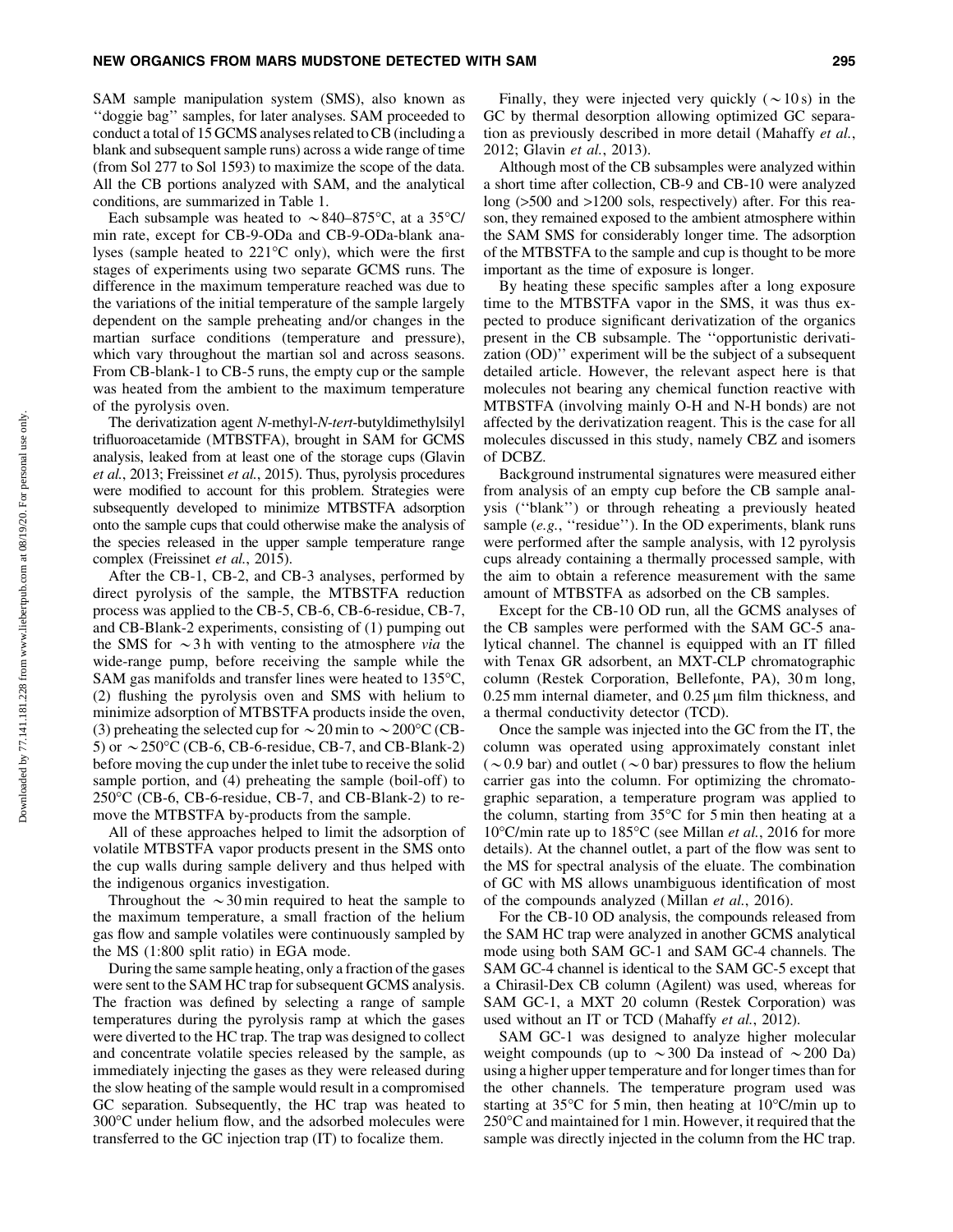### NEW ORGANICS FROM MARS MUDSTONE DETECTED WITH SAM 295

SAM sample manipulation system (SMS), also known as ''doggie bag'' samples, for later analyses. SAM proceeded to conduct a total of 15 GCMS analyses related to CB (including a blank and subsequent sample runs) across a wide range of time (from Sol 277 to Sol 1593) to maximize the scope of the data. All the CB portions analyzed with SAM, and the analytical conditions, are summarized in Table 1.

Each subsample was heated to  $\sim 840-875$ °C, at a 35°C/ min rate, except for CB-9-ODa and CB-9-ODa-blank analyses (sample heated to 221°C only), which were the first stages of experiments using two separate GCMS runs. The difference in the maximum temperature reached was due to the variations of the initial temperature of the sample largely dependent on the sample preheating and/or changes in the martian surface conditions (temperature and pressure), which vary throughout the martian sol and across seasons. From CB-blank-1 to CB-5 runs, the empty cup or the sample was heated from the ambient to the maximum temperature of the pyrolysis oven.

The derivatization agent *N*-methyl-*N*-*tert*-butyldimethylsilyl trifluoroacetamide (MTBSTFA), brought in SAM for GCMS analysis, leaked from at least one of the storage cups (Glavin *et al.*, 2013; Freissinet *et al.*, 2015). Thus, pyrolysis procedures were modified to account for this problem. Strategies were subsequently developed to minimize MTBSTFA adsorption onto the sample cups that could otherwise make the analysis of the species released in the upper sample temperature range complex (Freissinet *et al.*, 2015).

After the CB-1, CB-2, and CB-3 analyses, performed by direct pyrolysis of the sample, the MTBSTFA reduction process was applied to the CB-5, CB-6, CB-6-residue, CB-7, and CB-Blank-2 experiments, consisting of (1) pumping out the SMS for  $\sim$ 3 h with venting to the atmosphere *via* the wide-range pump, before receiving the sample while the SAM gas manifolds and transfer lines were heated to  $135^{\circ}$ C, (2) flushing the pyrolysis oven and SMS with helium to minimize adsorption of MTBSTFA products inside the oven, (3) preheating the selected cup for  $\sim$  20 min to  $\sim$  200°C (CB-5) or  $\sim$  250°C (CB-6, CB-6-residue, CB-7, and CB-Blank-2) before moving the cup under the inlet tube to receive the solid sample portion, and (4) preheating the sample (boil-off) to  $250^{\circ}$ C (CB-6, CB-6-residue, CB-7, and CB-Blank-2) to remove the MTBSTFA by-products from the sample.

All of these approaches helped to limit the adsorption of volatile MTBSTFA vapor products present in the SMS onto the cup walls during sample delivery and thus helped with the indigenous organics investigation.

Throughout the  $\sim$  30 min required to heat the sample to the maximum temperature, a small fraction of the helium gas flow and sample volatiles were continuously sampled by the MS (1:800 split ratio) in EGA mode.

During the same sample heating, only a fraction of the gases were sent to the SAM HC trap for subsequent GCMS analysis. The fraction was defined by selecting a range of sample temperatures during the pyrolysis ramp at which the gases were diverted to the HC trap. The trap was designed to collect and concentrate volatile species released by the sample, as immediately injecting the gases as they were released during the slow heating of the sample would result in a compromised GC separation. Subsequently, the HC trap was heated to 300°C under helium flow, and the adsorbed molecules were transferred to the GC injection trap (IT) to focalize them.

Finally, they were injected very quickly  $(\sim 10 \text{ s})$  in the GC by thermal desorption allowing optimized GC separation as previously described in more detail (Mahaffy *et al.*, 2012; Glavin *et al.*, 2013).

Although most of the CB subsamples were analyzed within a short time after collection, CB-9 and CB-10 were analyzed long ( $>500$  and  $>1200$  sols, respectively) after. For this reason, they remained exposed to the ambient atmosphere within the SAM SMS for considerably longer time. The adsorption of the MTBSTFA to the sample and cup is thought to be more important as the time of exposure is longer.

By heating these specific samples after a long exposure time to the MTBSTFA vapor in the SMS, it was thus expected to produce significant derivatization of the organics present in the CB subsample. The ''opportunistic derivatization (OD)'' experiment will be the subject of a subsequent detailed article. However, the relevant aspect here is that molecules not bearing any chemical function reactive with MTBSTFA (involving mainly O-H and N-H bonds) are not affected by the derivatization reagent. This is the case for all molecules discussed in this study, namely CBZ and isomers of DCBZ.

Background instrumental signatures were measured either from analysis of an empty cup before the CB sample analysis (''blank'') or through reheating a previously heated sample (*e.g.*, "residue"). In the OD experiments, blank runs were performed after the sample analysis, with 12 pyrolysis cups already containing a thermally processed sample, with the aim to obtain a reference measurement with the same amount of MTBSTFA as adsorbed on the CB samples.

Except for the CB-10 OD run, all the GCMS analyses of the CB samples were performed with the SAM GC-5 analytical channel. The channel is equipped with an IT filled with Tenax GR adsorbent, an MXT-CLP chromatographic column (Restek Corporation, Bellefonte, PA), 30 m long,  $0.25$  mm internal diameter, and  $0.25 \mu m$  film thickness, and a thermal conductivity detector (TCD).

Once the sample was injected into the GC from the IT, the column was operated using approximately constant inlet ( $\sim$ 0.9 bar) and outlet ( $\sim$ 0 bar) pressures to flow the helium carrier gas into the column. For optimizing the chromatographic separation, a temperature program was applied to the column, starting from  $35^{\circ}$ C for 5 min then heating at a 10°C/min rate up to 185°C (see Millan et al., 2016 for more details). At the channel outlet, a part of the flow was sent to the MS for spectral analysis of the eluate. The combination of GC with MS allows unambiguous identification of most of the compounds analyzed (Millan *et al.*, 2016).

For the CB-10 OD analysis, the compounds released from the SAM HC trap were analyzed in another GCMS analytical mode using both SAM GC-1 and SAM GC-4 channels. The SAM GC-4 channel is identical to the SAM GC-5 except that a Chirasil-Dex CB column (Agilent) was used, whereas for SAM GC-1, a MXT 20 column (Restek Corporation) was used without an IT or TCD (Mahaffy *et al.*, 2012).

SAM GC-1 was designed to analyze higher molecular weight compounds (up to  $\sim$  300 Da instead of  $\sim$  200 Da) using a higher upper temperature and for longer times than for the other channels. The temperature program used was starting at  $35^{\circ}$ C for 5 min, then heating at  $10^{\circ}$ C/min up to 250°C and maintained for 1 min. However, it required that the sample was directly injected in the column from the HC trap.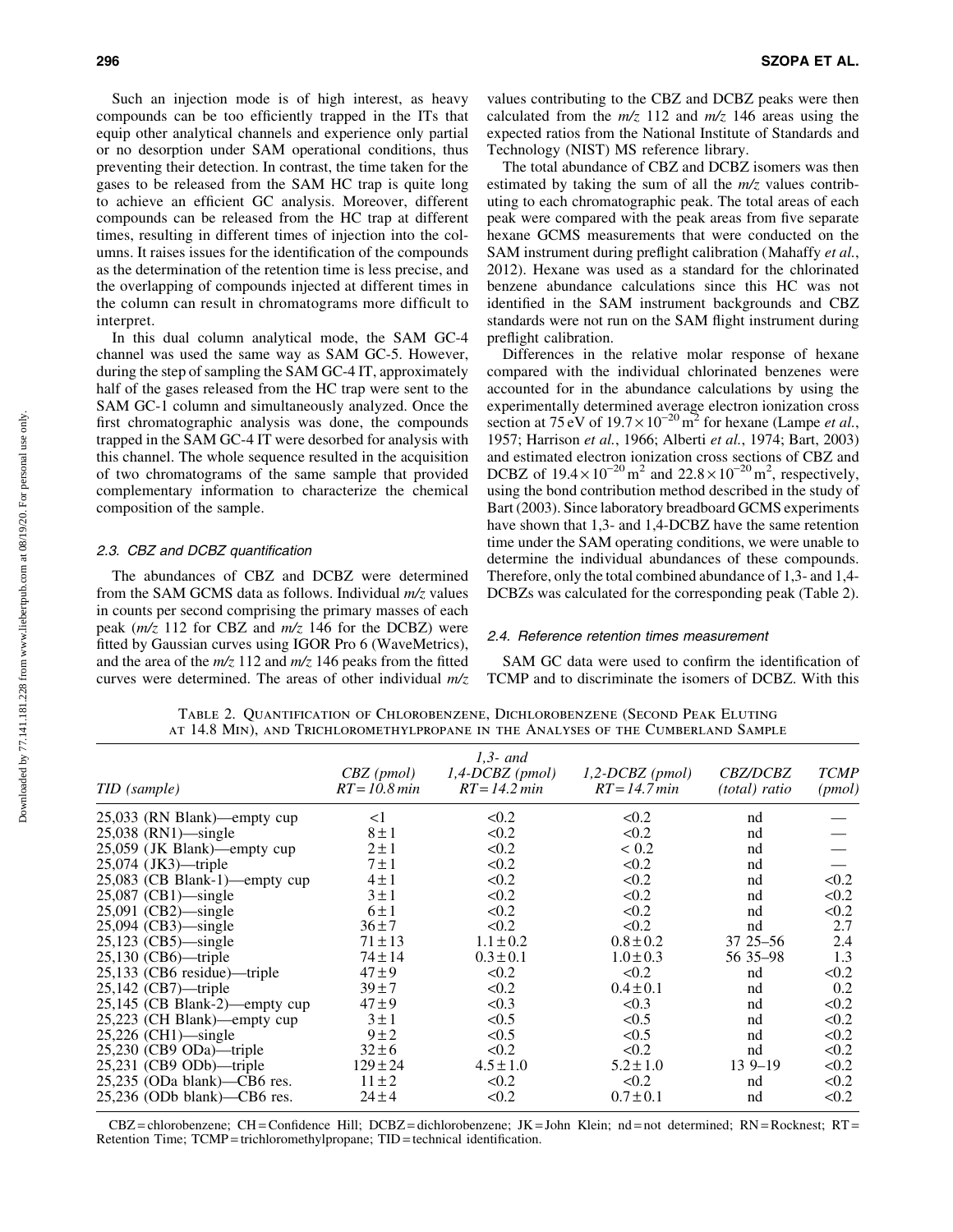Such an injection mode is of high interest, as heavy compounds can be too efficiently trapped in the ITs that equip other analytical channels and experience only partial or no desorption under SAM operational conditions, thus preventing their detection. In contrast, the time taken for the gases to be released from the SAM HC trap is quite long to achieve an efficient GC analysis. Moreover, different compounds can be released from the HC trap at different times, resulting in different times of injection into the columns. It raises issues for the identification of the compounds as the determination of the retention time is less precise, and the overlapping of compounds injected at different times in the column can result in chromatograms more difficult to interpret.

In this dual column analytical mode, the SAM GC-4 channel was used the same way as SAM GC-5. However, during the step of sampling the SAM GC-4 IT, approximately half of the gases released from the HC trap were sent to the SAM GC-1 column and simultaneously analyzed. Once the first chromatographic analysis was done, the compounds trapped in the SAM GC-4 IT were desorbed for analysis with this channel. The whole sequence resulted in the acquisition of two chromatograms of the same sample that provided complementary information to characterize the chemical composition of the sample.

## 2.3. CBZ and DCBZ quantification

The abundances of CBZ and DCBZ were determined from the SAM GCMS data as follows. Individual *m/z* values in counts per second comprising the primary masses of each peak (*m/z* 112 for CBZ and *m/z* 146 for the DCBZ) were fitted by Gaussian curves using IGOR Pro 6 (WaveMetrics), and the area of the *m/z* 112 and *m/z* 146 peaks from the fitted curves were determined. The areas of other individual *m/z* values contributing to the CBZ and DCBZ peaks were then calculated from the *m/z* 112 and *m/z* 146 areas using the expected ratios from the National Institute of Standards and Technology (NIST) MS reference library.

The total abundance of CBZ and DCBZ isomers was then estimated by taking the sum of all the *m/z* values contributing to each chromatographic peak. The total areas of each peak were compared with the peak areas from five separate hexane GCMS measurements that were conducted on the SAM instrument during preflight calibration (Mahaffy *et al.*, 2012). Hexane was used as a standard for the chlorinated benzene abundance calculations since this HC was not identified in the SAM instrument backgrounds and CBZ standards were not run on the SAM flight instrument during preflight calibration.

Differences in the relative molar response of hexane compared with the individual chlorinated benzenes were accounted for in the abundance calculations by using the experimentally determined average electron ionization cross section at 75 eV of  $19.7 \times 10^{-20}$  m<sup>2</sup> for hexane (Lampe *et al.*, 1957; Harrison *et al.*, 1966; Alberti *et al.*, 1974; Bart, 2003) and estimated electron ionization cross sections of CBZ and DCBZ of  $19.4 \times 10^{-20}$  m<sup>2</sup> and  $22.8 \times 10^{-20}$  m<sup>2</sup>, respectively, using the bond contribution method described in the study of Bart (2003). Since laboratory breadboard GCMS experiments have shown that 1,3- and 1,4-DCBZ have the same retention time under the SAM operating conditions, we were unable to determine the individual abundances of these compounds. Therefore, only the total combined abundance of 1,3- and 1,4- DCBZs was calculated for the corresponding peak (Table 2).

#### 2.4. Reference retention times measurement

SAM GC data were used to confirm the identification of TCMP and to discriminate the isomers of DCBZ. With this

|  | TABLE 2. QUANTIFICATION OF CHLOROBENZENE, DICHLOROBENZENE (SECOND PEAK ELUTING    |
|--|-----------------------------------------------------------------------------------|
|  | at 14.8 Min), and Trichloromethylpropane in the Analyses of the Cumberland Sample |

| TID (sample)                  | $CBZ$ (pmol)<br>$RT = 10.8$ min | $1,3$ - and<br>$1,4$ -DCBZ (pmol)<br>$RT = 14.2 min$ | $1,2$ -DCBZ (pmol)<br>$RT = 14.7$ min | <i>CBZ/DCBZ</i><br>(total) ratio | <b>TCMP</b><br>(pmol) |
|-------------------------------|---------------------------------|------------------------------------------------------|---------------------------------------|----------------------------------|-----------------------|
| 25,033 (RN Blank)—empty cup   | $<$ 1                           | < 0.2                                                | < 0.2                                 | nd                               |                       |
| $25,038$ (RN1)—single         | $8 \pm 1$                       | < 0.2                                                | < 0.2                                 | nd                               |                       |
| 25,059 (JK Blank)—empty cup   | $2 \pm 1$                       | < 0.2                                                | < 0.2                                 | nd                               |                       |
| 25,074 (JK3)—triple           | $7 \pm 1$                       | < 0.2                                                | < 0.2                                 | nd                               |                       |
| 25,083 (CB Blank-1)—empty cup | $4 \pm 1$                       | < 0.2                                                | < 0.2                                 | nd                               | < 0.2                 |
| $25,087$ (CB1)—single         | $3 \pm 1$                       | < 0.2                                                | < 0.2                                 | nd                               | < 0.2                 |
| $25,091$ (CB2)—single         | $6 \pm 1$                       | < 0.2                                                | < 0.2                                 | nd                               | < 0.2                 |
| $25,094$ (CB3)—single         | $36 \pm 7$                      | < 0.2                                                | < 0.2                                 | nd                               | 2.7                   |
| $25,123$ (CB5)—single         | $71 \pm 13$                     | $1.1 \pm 0.2$                                        | $0.8 \pm 0.2$                         | $3725 - 56$                      | 2.4                   |
| $25,130$ (CB6)—triple         | $74 \pm 14$                     | $0.3 \pm 0.1$                                        | $1.0 \pm 0.3$                         | 56 35 - 98                       | 1.3                   |
| 25,133 (CB6 residue)—triple   | $47 + 9$                        | < 0.2                                                | < 0.2                                 | nd                               | < 0.2                 |
| $25,142$ (CB7)—triple         | $39 + 7$                        | < 0.2                                                | $0.4 \pm 0.1$                         | nd                               | 0.2                   |
| 25,145 (CB Blank-2)—empty cup | $47 + 9$                        | < 0.3                                                | < 0.3                                 | nd                               | < 0.2                 |
| 25,223 (CH Blank)—empty cup   | $3 \pm 1$                       | < 0.5                                                | < 0.5                                 | nd                               | < 0.2                 |
| $25,226$ (CH1)—single         | $9\pm2$                         | < 0.5                                                | < 0.5                                 | nd                               | < 0.2                 |
| $25,230$ (CB9 ODa)—triple     | $32 \pm 6$                      | < 0.2                                                | < 0.2                                 | nd                               | < 0.2                 |
| 25,231 (CB9 ODb)—triple       | $129 \pm 24$                    | $4.5 \pm 1.0$                                        | $5.2 \pm 1.0$                         | $139-19$                         | < 0.2                 |
| 25,235 (ODa blank)—CB6 res.   | $11 \pm 2$                      | < 0.2                                                | < 0.2                                 | nd                               | < 0.2                 |
| $25,236$ (ODb blank)—CB6 res. | $24 \pm 4$                      | < 0.2                                                | $0.7 \pm 0.1$                         | nd                               | < 0.2                 |

CBZ = chlorobenzene; CH = Confidence Hill; DCBZ = dichlorobenzene; JK = John Klein; nd = not determined; RN = Rocknest; RT = Retention Time; TCMP = trichloromethylpropane; TID = technical identification.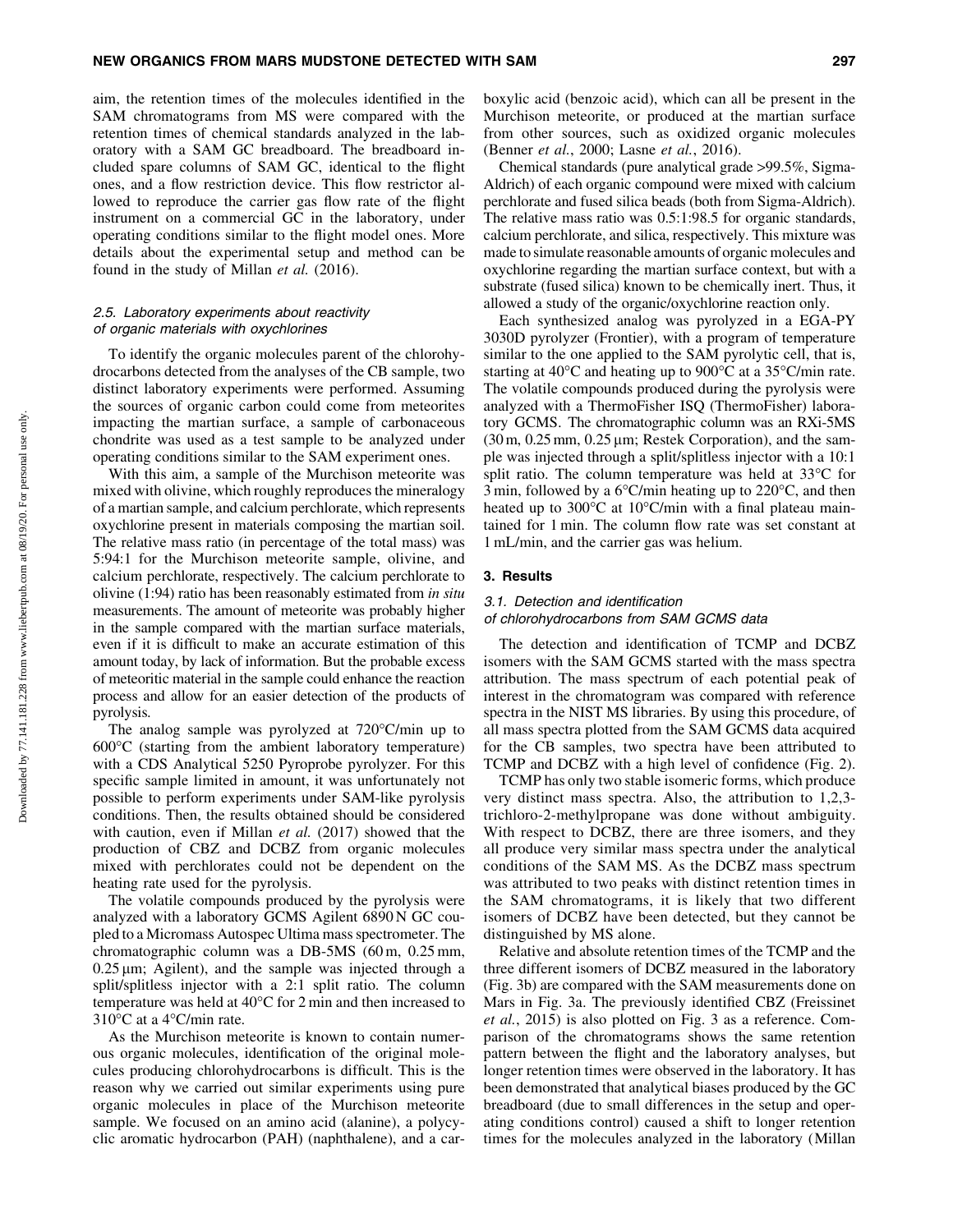aim, the retention times of the molecules identified in the SAM chromatograms from MS were compared with the retention times of chemical standards analyzed in the laboratory with a SAM GC breadboard. The breadboard included spare columns of SAM GC, identical to the flight ones, and a flow restriction device. This flow restrictor allowed to reproduce the carrier gas flow rate of the flight instrument on a commercial GC in the laboratory, under operating conditions similar to the flight model ones. More details about the experimental setup and method can be found in the study of Millan *et al.* (2016).

## 2.5. Laboratory experiments about reactivity of organic materials with oxychlorines

To identify the organic molecules parent of the chlorohydrocarbons detected from the analyses of the CB sample, two distinct laboratory experiments were performed. Assuming the sources of organic carbon could come from meteorites impacting the martian surface, a sample of carbonaceous chondrite was used as a test sample to be analyzed under operating conditions similar to the SAM experiment ones.

With this aim, a sample of the Murchison meteorite was mixed with olivine, which roughly reproduces the mineralogy of a martian sample, and calcium perchlorate, which represents oxychlorine present in materials composing the martian soil. The relative mass ratio (in percentage of the total mass) was 5:94:1 for the Murchison meteorite sample, olivine, and calcium perchlorate, respectively. The calcium perchlorate to olivine (1:94) ratio has been reasonably estimated from *in situ* measurements. The amount of meteorite was probably higher in the sample compared with the martian surface materials, even if it is difficult to make an accurate estimation of this amount today, by lack of information. But the probable excess of meteoritic material in the sample could enhance the reaction process and allow for an easier detection of the products of pyrolysis.

The analog sample was pyrolyzed at  $720^{\circ}$ C/min up to 600°C (starting from the ambient laboratory temperature) with a CDS Analytical 5250 Pyroprobe pyrolyzer. For this specific sample limited in amount, it was unfortunately not possible to perform experiments under SAM-like pyrolysis conditions. Then, the results obtained should be considered with caution, even if Millan *et al.* (2017) showed that the production of CBZ and DCBZ from organic molecules mixed with perchlorates could not be dependent on the heating rate used for the pyrolysis.

The volatile compounds produced by the pyrolysis were analyzed with a laboratory GCMS Agilent 6890 N GC coupled to a Micromass Autospec Ultima mass spectrometer. The chromatographic column was a DB-5MS (60 m, 0.25 mm,  $0.25 \mu m$ ; Agilent), and the sample was injected through a split/splitless injector with a 2:1 split ratio. The column temperature was held at  $40^{\circ}$ C for 2 min and then increased to  $310^{\circ}$ C at a 4 $^{\circ}$ C/min rate.

As the Murchison meteorite is known to contain numerous organic molecules, identification of the original molecules producing chlorohydrocarbons is difficult. This is the reason why we carried out similar experiments using pure organic molecules in place of the Murchison meteorite sample. We focused on an amino acid (alanine), a polycyclic aromatic hydrocarbon (PAH) (naphthalene), and a carboxylic acid (benzoic acid), which can all be present in the Murchison meteorite, or produced at the martian surface from other sources, such as oxidized organic molecules (Benner *et al.*, 2000; Lasne *et al.*, 2016).

Chemical standards (pure analytical grade >99.5%, Sigma-Aldrich) of each organic compound were mixed with calcium perchlorate and fused silica beads (both from Sigma-Aldrich). The relative mass ratio was 0.5:1:98.5 for organic standards, calcium perchlorate, and silica, respectively. This mixture was made to simulate reasonable amounts of organic molecules and oxychlorine regarding the martian surface context, but with a substrate (fused silica) known to be chemically inert. Thus, it allowed a study of the organic/oxychlorine reaction only.

Each synthesized analog was pyrolyzed in a EGA-PY 3030D pyrolyzer (Frontier), with a program of temperature similar to the one applied to the SAM pyrolytic cell, that is, starting at  $40^{\circ}$ C and heating up to  $900^{\circ}$ C at a  $35^{\circ}$ C/min rate. The volatile compounds produced during the pyrolysis were analyzed with a ThermoFisher ISQ (ThermoFisher) laboratory GCMS. The chromatographic column was an RXi-5MS (30 m, 0.25 mm, 0.25 mm; Restek Corporation), and the sample was injected through a split/splitless injector with a 10:1 split ratio. The column temperature was held at  $33^{\circ}$ C for 3 min, followed by a  $6^{\circ}$ C/min heating up to 220 $^{\circ}$ C, and then heated up to 300°C at 10°C/min with a final plateau maintained for 1 min. The column flow rate was set constant at 1 mL/min, and the carrier gas was helium.

## 3. Results

#### 3.1. Detection and identification

## of chlorohydrocarbons from SAM GCMS data

The detection and identification of TCMP and DCBZ isomers with the SAM GCMS started with the mass spectra attribution. The mass spectrum of each potential peak of interest in the chromatogram was compared with reference spectra in the NIST MS libraries. By using this procedure, of all mass spectra plotted from the SAM GCMS data acquired for the CB samples, two spectra have been attributed to TCMP and DCBZ with a high level of confidence (Fig. 2).

TCMP has only two stable isomeric forms, which produce very distinct mass spectra. Also, the attribution to 1,2,3 trichloro-2-methylpropane was done without ambiguity. With respect to DCBZ, there are three isomers, and they all produce very similar mass spectra under the analytical conditions of the SAM MS. As the DCBZ mass spectrum was attributed to two peaks with distinct retention times in the SAM chromatograms, it is likely that two different isomers of DCBZ have been detected, but they cannot be distinguished by MS alone.

Relative and absolute retention times of the TCMP and the three different isomers of DCBZ measured in the laboratory (Fig. 3b) are compared with the SAM measurements done on Mars in Fig. 3a. The previously identified CBZ (Freissinet *et al.*, 2015) is also plotted on Fig. 3 as a reference. Comparison of the chromatograms shows the same retention pattern between the flight and the laboratory analyses, but longer retention times were observed in the laboratory. It has been demonstrated that analytical biases produced by the GC breadboard (due to small differences in the setup and operating conditions control) caused a shift to longer retention times for the molecules analyzed in the laboratory (Millan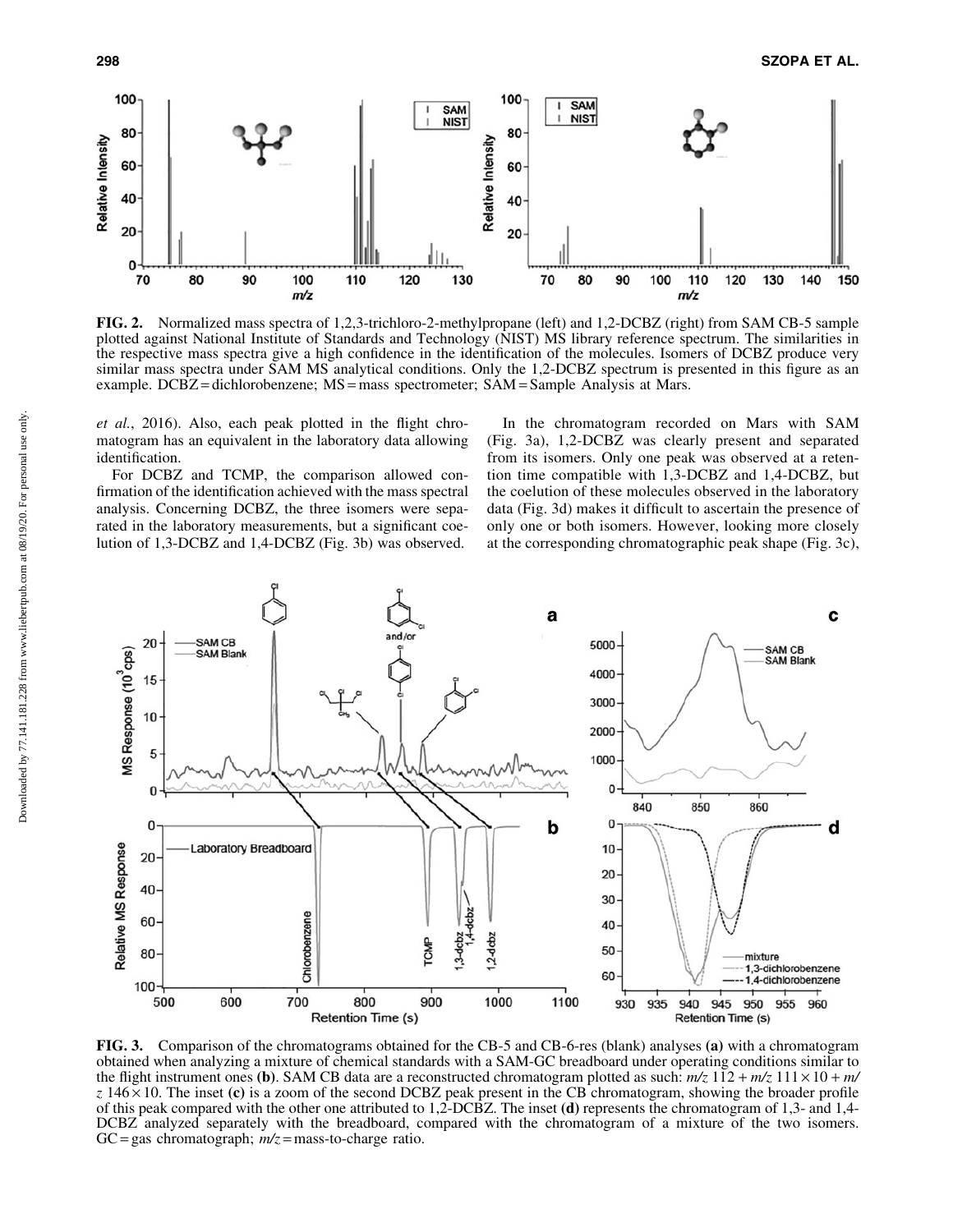

FIG. 2. Normalized mass spectra of 1,2,3-trichloro-2-methylpropane (left) and 1,2-DCBZ (right) from SAM CB-5 sample plotted against National Institute of Standards and Technology (NIST) MS library reference spectrum. The similarities in the respective mass spectra give a high confidence in the identification of the molecules. Isomers of DCBZ produce very similar mass spectra under SAM MS analytical conditions. Only the 1,2-DCBZ spectrum is presented in this figure as an example. DCBZ = dichlorobenzene; MS = mass spectrometer; SAM = Sample Analysis at Mars.

*et al.*, 2016). Also, each peak plotted in the flight chromatogram has an equivalent in the laboratory data allowing identification.

For DCBZ and TCMP, the comparison allowed confirmation of the identification achieved with the mass spectral analysis. Concerning DCBZ, the three isomers were separated in the laboratory measurements, but a significant coelution of 1,3-DCBZ and 1,4-DCBZ (Fig. 3b) was observed.

In the chromatogram recorded on Mars with SAM (Fig. 3a), 1,2-DCBZ was clearly present and separated from its isomers. Only one peak was observed at a retention time compatible with 1,3-DCBZ and 1,4-DCBZ, but the coelution of these molecules observed in the laboratory data (Fig. 3d) makes it difficult to ascertain the presence of only one or both isomers. However, looking more closely at the corresponding chromatographic peak shape (Fig. 3c),



FIG. 3. Comparison of the chromatograms obtained for the CB-5 and CB-6-res (blank) analyses (a) with a chromatogram obtained when analyzing a mixture of chemical standards with a SAM-GC breadboard under operating conditions similar to the flight instrument ones (b). SAM CB data are a reconstructed chromatogram plotted as such:  $m/z$  112 +  $m/z$  111 × 10 +  $m/$  $z$  146 $\times$  10. The inset (c) is a zoom of the second DCBZ peak present in the CB chromatogram, showing the broader profile of this peak compared with the other one attributed to 1,2-DCBZ. The inset (d) represents the chromatogram of 1,3- and 1,4- DCBZ analyzed separately with the breadboard, compared with the chromatogram of a mixture of the two isomers.  $GC = gas$  chromatograph;  $m/z = mass$ -to-charge ratio.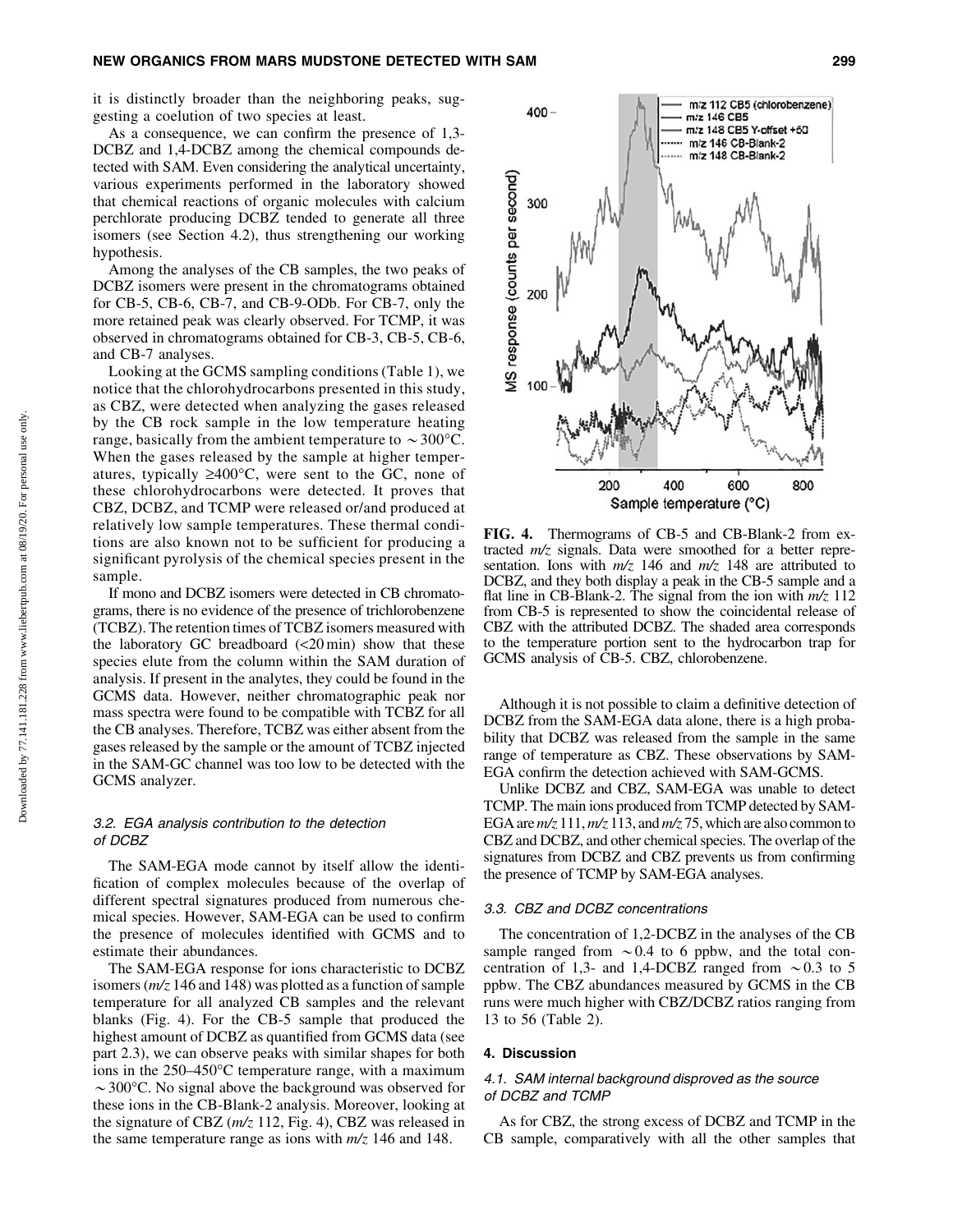it is distinctly broader than the neighboring peaks, suggesting a coelution of two species at least.

As a consequence, we can confirm the presence of 1,3- DCBZ and 1,4-DCBZ among the chemical compounds detected with SAM. Even considering the analytical uncertainty, various experiments performed in the laboratory showed that chemical reactions of organic molecules with calcium perchlorate producing DCBZ tended to generate all three isomers (see Section 4.2), thus strengthening our working hypothesis.

Among the analyses of the CB samples, the two peaks of DCBZ isomers were present in the chromatograms obtained for CB-5, CB-6, CB-7, and CB-9-ODb. For CB-7, only the more retained peak was clearly observed. For TCMP, it was observed in chromatograms obtained for CB-3, CB-5, CB-6, and CB-7 analyses.

Looking at the GCMS sampling conditions (Table 1), we notice that the chlorohydrocarbons presented in this study, as CBZ, were detected when analyzing the gases released by the CB rock sample in the low temperature heating range, basically from the ambient temperature to  $\sim$  300 $^{\circ}$ C. When the gases released by the sample at higher temperatures, typically  $\geq 400^{\circ}$ C, were sent to the GC, none of these chlorohydrocarbons were detected. It proves that CBZ, DCBZ, and TCMP were released or/and produced at relatively low sample temperatures. These thermal conditions are also known not to be sufficient for producing a significant pyrolysis of the chemical species present in the sample.

If mono and DCBZ isomers were detected in CB chromatograms, there is no evidence of the presence of trichlorobenzene (TCBZ). The retention times of TCBZ isomers measured with the laboratory GC breadboard  $\left( < 20 \right)$  min) show that these species elute from the column within the SAM duration of analysis. If present in the analytes, they could be found in the GCMS data. However, neither chromatographic peak nor mass spectra were found to be compatible with TCBZ for all the CB analyses. Therefore, TCBZ was either absent from the gases released by the sample or the amount of TCBZ injected in the SAM-GC channel was too low to be detected with the GCMS analyzer.

## 3.2. EGA analysis contribution to the detection of DCBZ

The SAM-EGA mode cannot by itself allow the identification of complex molecules because of the overlap of different spectral signatures produced from numerous chemical species. However, SAM-EGA can be used to confirm the presence of molecules identified with GCMS and to estimate their abundances.

The SAM-EGA response for ions characteristic to DCBZ isomers (*m/z* 146 and 148) was plotted as a function of sample temperature for all analyzed CB samples and the relevant blanks (Fig. 4). For the CB-5 sample that produced the highest amount of DCBZ as quantified from GCMS data (see part 2.3), we can observe peaks with similar shapes for both ions in the 250–450°C temperature range, with a maximum  $\sim$  300°C. No signal above the background was observed for these ions in the CB-Blank-2 analysis. Moreover, looking at the signature of CBZ (*m/z* 112, Fig. 4), CBZ was released in the same temperature range as ions with *m/z* 146 and 148.



FIG. 4. Thermograms of CB-5 and CB-Blank-2 from extracted *m/z* signals. Data were smoothed for a better representation. Ions with *m/z* 146 and *m/z* 148 are attributed to DCBZ, and they both display a peak in the CB-5 sample and a flat line in CB-Blank-2. The signal from the ion with *m/z* 112 from CB-5 is represented to show the coincidental release of CBZ with the attributed DCBZ. The shaded area corresponds to the temperature portion sent to the hydrocarbon trap for GCMS analysis of CB-5. CBZ, chlorobenzene.

Although it is not possible to claim a definitive detection of DCBZ from the SAM-EGA data alone, there is a high probability that DCBZ was released from the sample in the same range of temperature as CBZ. These observations by SAM-EGA confirm the detection achieved with SAM-GCMS.

Unlike DCBZ and CBZ, SAM-EGA was unable to detect TCMP. The main ions produced from TCMP detected by SAM-EGA are*m/z* 111,*m/z* 113, and*m/z* 75, which are also common to CBZ and DCBZ, and other chemical species. The overlap of the signatures from DCBZ and CBZ prevents us from confirming the presence of TCMP by SAM-EGA analyses.

## 3.3. CBZ and DCBZ concentrations

The concentration of 1,2-DCBZ in the analyses of the CB sample ranged from  $\sim 0.4$  to 6 ppbw, and the total concentration of 1,3- and 1,4-DCBZ ranged from  $\sim 0.3$  to 5 ppbw. The CBZ abundances measured by GCMS in the CB runs were much higher with CBZ/DCBZ ratios ranging from 13 to 56 (Table 2).

#### 4. Discussion

## 4.1. SAM internal background disproved as the source of DCBZ and TCMP

As for CBZ, the strong excess of DCBZ and TCMP in the CB sample, comparatively with all the other samples that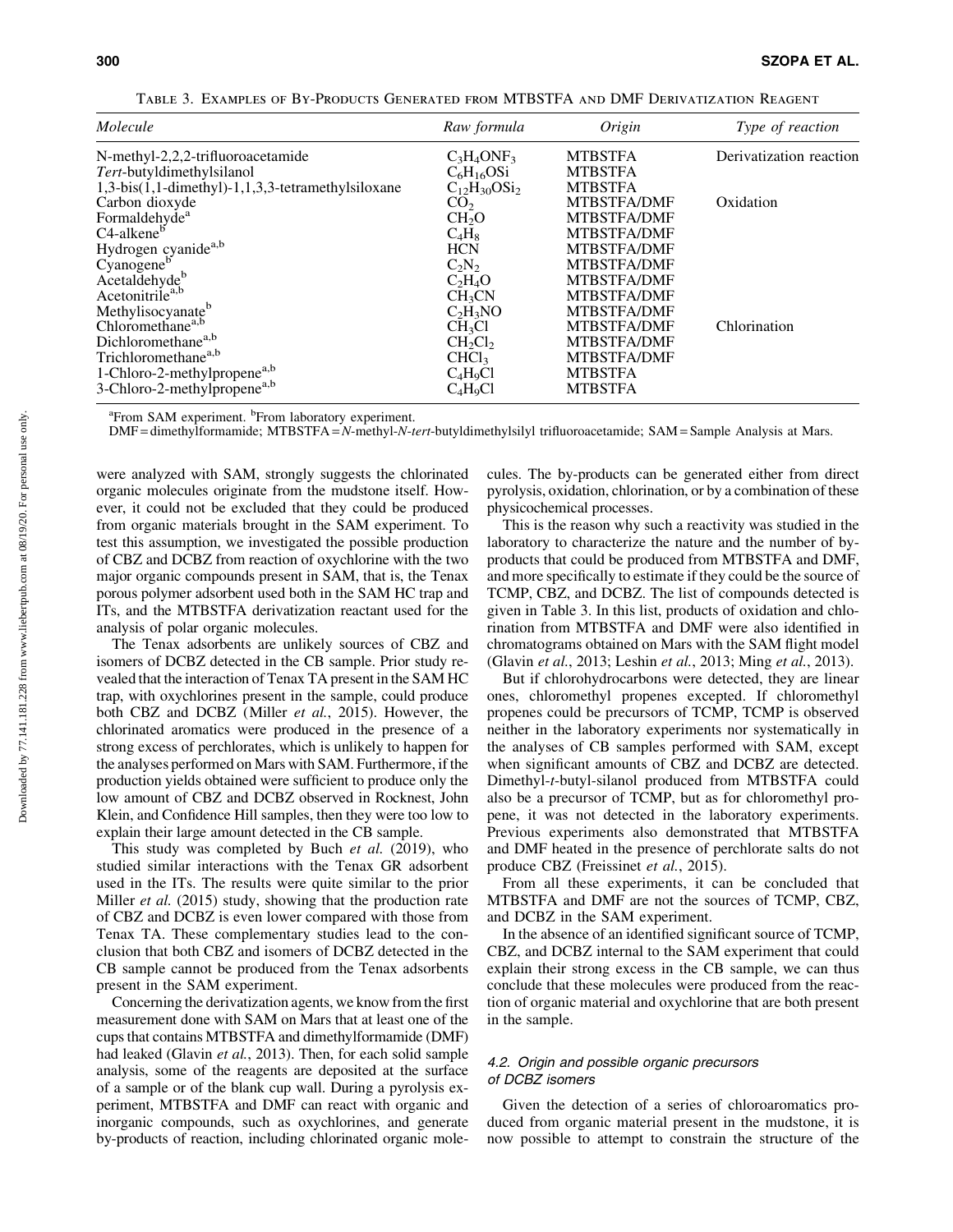| Molecule                                                  | Raw formula                     | Origin             | Type of reaction        |
|-----------------------------------------------------------|---------------------------------|--------------------|-------------------------|
| N-methyl-2,2,2-trifluoroacetamide                         | $C_3H_4ONF_3$                   | <b>MTBSTFA</b>     | Derivatization reaction |
| Tert-butyldimethylsilanol                                 | $C_6H_{16}OSi$                  | <b>MTBSTFA</b>     |                         |
| $1,3-bis(1,1-dimethyl)-1,1,3,3-tetramethylsiloxane$       | $C_{12}H_{30}OSi2$              | <b>MTBSTFA</b>     |                         |
| Carbon dioxyde                                            | CO <sub>2</sub>                 | <b>MTBSTFA/DMF</b> | Oxidation               |
| Formaldehyde <sup>a</sup>                                 | CH <sub>2</sub> O               | <b>MTBSTFA/DMF</b> |                         |
| $C4$ -alkene $b$                                          | $C_4H_8$                        | <b>MTBSTFA/DMF</b> |                         |
| Hydrogen cyanide <sup>a,b</sup><br>Cyanogene <sup>b</sup> | <b>HCN</b>                      | <b>MTBSTFA/DMF</b> |                         |
|                                                           | $C_2N_2$                        | <b>MTBSTFA/DMF</b> |                         |
| Acetaldehyde <sup>b</sup>                                 | $C_2H_4O$                       | <b>MTBSTFA/DMF</b> |                         |
| Acetonitrilea,b                                           | CH <sub>3</sub> CN              | <b>MTBSTFA/DMF</b> |                         |
| Methylisocyanate <sup>b</sup>                             | $C_2H_3NO$                      | <b>MTBSTFA/DMF</b> |                         |
| Chloromethane <sup>a,b</sup>                              | CH <sub>3</sub> Cl              | <b>MTBSTFA/DMF</b> | Chlorination            |
| Dichloromethane <sup>a,b</sup>                            | CH <sub>2</sub> Cl <sub>2</sub> | <b>MTBSTFA/DMF</b> |                         |
| Trichloromethane <sup>a,b</sup>                           | CHCl <sub>3</sub>               | <b>MTBSTFA/DMF</b> |                         |
| 1-Chloro-2-methylpropene <sup>a,b</sup>                   | $C_4H_9Cl$                      | <b>MTBSTFA</b>     |                         |
| 3-Chloro-2-methylpropene <sup>a,b</sup>                   | $C_4H_9Cl$                      | <b>MTBSTFA</b>     |                         |

Table 3. Examples of By-Products Generated from MTBSTFA and DMF Derivatization Reagent

<sup>a</sup> From SAM experiment. <sup>b</sup> From laboratory experiment.

DMF = dimethylformamide; MTBSTFA = *N*-methyl-*N*-*tert*-butyldimethylsilyl trifluoroacetamide; SAM = Sample Analysis at Mars.

were analyzed with SAM, strongly suggests the chlorinated organic molecules originate from the mudstone itself. However, it could not be excluded that they could be produced from organic materials brought in the SAM experiment. To test this assumption, we investigated the possible production of CBZ and DCBZ from reaction of oxychlorine with the two major organic compounds present in SAM, that is, the Tenax porous polymer adsorbent used both in the SAM HC trap and ITs, and the MTBSTFA derivatization reactant used for the analysis of polar organic molecules.

The Tenax adsorbents are unlikely sources of CBZ and isomers of DCBZ detected in the CB sample. Prior study revealed that the interaction of Tenax TA present in the SAM HC trap, with oxychlorines present in the sample, could produce both CBZ and DCBZ (Miller *et al.*, 2015). However, the chlorinated aromatics were produced in the presence of a strong excess of perchlorates, which is unlikely to happen for the analyses performed on Mars with SAM. Furthermore, if the production yields obtained were sufficient to produce only the low amount of CBZ and DCBZ observed in Rocknest, John Klein, and Confidence Hill samples, then they were too low to explain their large amount detected in the CB sample.

This study was completed by Buch *et al.* (2019), who studied similar interactions with the Tenax GR adsorbent used in the ITs. The results were quite similar to the prior Miller *et al.* (2015) study, showing that the production rate of CBZ and DCBZ is even lower compared with those from Tenax TA. These complementary studies lead to the conclusion that both CBZ and isomers of DCBZ detected in the CB sample cannot be produced from the Tenax adsorbents present in the SAM experiment.

Concerning the derivatization agents, we know from the first measurement done with SAM on Mars that at least one of the cups that contains MTBSTFA and dimethylformamide (DMF) had leaked (Glavin *et al.*, 2013). Then, for each solid sample analysis, some of the reagents are deposited at the surface of a sample or of the blank cup wall. During a pyrolysis experiment, MTBSTFA and DMF can react with organic and inorganic compounds, such as oxychlorines, and generate by-products of reaction, including chlorinated organic molecules. The by-products can be generated either from direct pyrolysis, oxidation, chlorination, or by a combination of these physicochemical processes.

This is the reason why such a reactivity was studied in the laboratory to characterize the nature and the number of byproducts that could be produced from MTBSTFA and DMF, and more specifically to estimate if they could be the source of TCMP, CBZ, and DCBZ. The list of compounds detected is given in Table 3. In this list, products of oxidation and chlorination from MTBSTFA and DMF were also identified in chromatograms obtained on Mars with the SAM flight model (Glavin *et al.*, 2013; Leshin *et al.*, 2013; Ming *et al.*, 2013).

But if chlorohydrocarbons were detected, they are linear ones, chloromethyl propenes excepted. If chloromethyl propenes could be precursors of TCMP, TCMP is observed neither in the laboratory experiments nor systematically in the analyses of CB samples performed with SAM, except when significant amounts of CBZ and DCBZ are detected. Dimethyl-*t*-butyl-silanol produced from MTBSTFA could also be a precursor of TCMP, but as for chloromethyl propene, it was not detected in the laboratory experiments. Previous experiments also demonstrated that MTBSTFA and DMF heated in the presence of perchlorate salts do not produce CBZ (Freissinet *et al.*, 2015).

From all these experiments, it can be concluded that MTBSTFA and DMF are not the sources of TCMP, CBZ, and DCBZ in the SAM experiment.

In the absence of an identified significant source of TCMP, CBZ, and DCBZ internal to the SAM experiment that could explain their strong excess in the CB sample, we can thus conclude that these molecules were produced from the reaction of organic material and oxychlorine that are both present in the sample.

## 4.2. Origin and possible organic precursors of DCBZ isomers

Given the detection of a series of chloroaromatics produced from organic material present in the mudstone, it is now possible to attempt to constrain the structure of the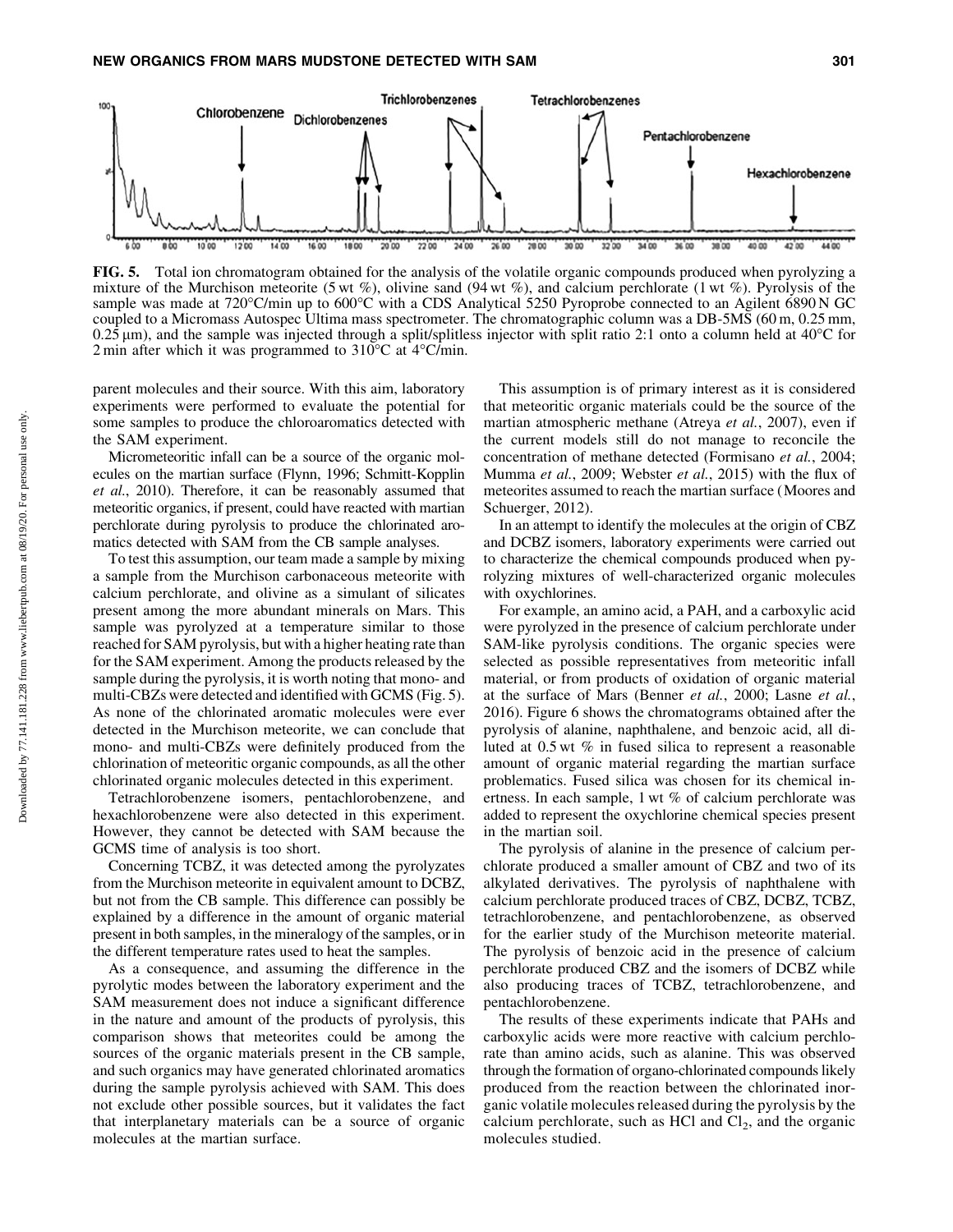

FIG. 5. Total ion chromatogram obtained for the analysis of the volatile organic compounds produced when pyrolyzing a mixture of the Murchison meteorite (5 wt %), olivine sand (94 wt %), and calcium perchlorate (1 wt %). Pyrolysis of the sample was made at 720°C/min up to 600°C with a CDS Analytical 5250 Pyroprobe connected to an Agilent 6890 N GC coupled to a Micromass Autospec Ultima mass spectrometer. The chromatographic column was a DB-5MS (60 m, 0.25 mm,  $0.25 \,\mu$ m), and the sample was injected through a split/splitless injector with split ratio 2:1 onto a column held at  $40^{\circ}$ C for 2 min after which it was programmed to  $310^{\circ}$ C at  $4^{\circ}$ C/min.

parent molecules and their source. With this aim, laboratory experiments were performed to evaluate the potential for some samples to produce the chloroaromatics detected with the SAM experiment.

Micrometeoritic infall can be a source of the organic molecules on the martian surface (Flynn, 1996; Schmitt-Kopplin *et al.*, 2010). Therefore, it can be reasonably assumed that meteoritic organics, if present, could have reacted with martian perchlorate during pyrolysis to produce the chlorinated aromatics detected with SAM from the CB sample analyses.

To test this assumption, our team made a sample by mixing a sample from the Murchison carbonaceous meteorite with calcium perchlorate, and olivine as a simulant of silicates present among the more abundant minerals on Mars. This sample was pyrolyzed at a temperature similar to those reached for SAM pyrolysis, but with a higher heating rate than for the SAM experiment. Among the products released by the sample during the pyrolysis, it is worth noting that mono- and multi-CBZs were detected and identified with GCMS (Fig. 5). As none of the chlorinated aromatic molecules were ever detected in the Murchison meteorite, we can conclude that mono- and multi-CBZs were definitely produced from the chlorination of meteoritic organic compounds, as all the other chlorinated organic molecules detected in this experiment.

Tetrachlorobenzene isomers, pentachlorobenzene, and hexachlorobenzene were also detected in this experiment. However, they cannot be detected with SAM because the GCMS time of analysis is too short.

Concerning TCBZ, it was detected among the pyrolyzates from the Murchison meteorite in equivalent amount to DCBZ, but not from the CB sample. This difference can possibly be explained by a difference in the amount of organic material present in both samples, in the mineralogy of the samples, or in the different temperature rates used to heat the samples.

As a consequence, and assuming the difference in the pyrolytic modes between the laboratory experiment and the SAM measurement does not induce a significant difference in the nature and amount of the products of pyrolysis, this comparison shows that meteorites could be among the sources of the organic materials present in the CB sample, and such organics may have generated chlorinated aromatics during the sample pyrolysis achieved with SAM. This does not exclude other possible sources, but it validates the fact that interplanetary materials can be a source of organic molecules at the martian surface.

This assumption is of primary interest as it is considered that meteoritic organic materials could be the source of the martian atmospheric methane (Atreya *et al.*, 2007), even if the current models still do not manage to reconcile the concentration of methane detected (Formisano *et al.*, 2004; Mumma *et al.*, 2009; Webster *et al.*, 2015) with the flux of meteorites assumed to reach the martian surface (Moores and Schuerger, 2012).

In an attempt to identify the molecules at the origin of CBZ and DCBZ isomers, laboratory experiments were carried out to characterize the chemical compounds produced when pyrolyzing mixtures of well-characterized organic molecules with oxychlorines.

For example, an amino acid, a PAH, and a carboxylic acid were pyrolyzed in the presence of calcium perchlorate under SAM-like pyrolysis conditions. The organic species were selected as possible representatives from meteoritic infall material, or from products of oxidation of organic material at the surface of Mars (Benner *et al.*, 2000; Lasne *et al.*, 2016). Figure 6 shows the chromatograms obtained after the pyrolysis of alanine, naphthalene, and benzoic acid, all diluted at 0.5 wt % in fused silica to represent a reasonable amount of organic material regarding the martian surface problematics. Fused silica was chosen for its chemical inertness. In each sample, 1 wt % of calcium perchlorate was added to represent the oxychlorine chemical species present in the martian soil.

The pyrolysis of alanine in the presence of calcium perchlorate produced a smaller amount of CBZ and two of its alkylated derivatives. The pyrolysis of naphthalene with calcium perchlorate produced traces of CBZ, DCBZ, TCBZ, tetrachlorobenzene, and pentachlorobenzene, as observed for the earlier study of the Murchison meteorite material. The pyrolysis of benzoic acid in the presence of calcium perchlorate produced CBZ and the isomers of DCBZ while also producing traces of TCBZ, tetrachlorobenzene, and pentachlorobenzene.

The results of these experiments indicate that PAHs and carboxylic acids were more reactive with calcium perchlorate than amino acids, such as alanine. This was observed through the formation of organo-chlorinated compounds likely produced from the reaction between the chlorinated inorganic volatile molecules released during the pyrolysis by the calcium perchlorate, such as HCl and  $Cl<sub>2</sub>$ , and the organic molecules studied.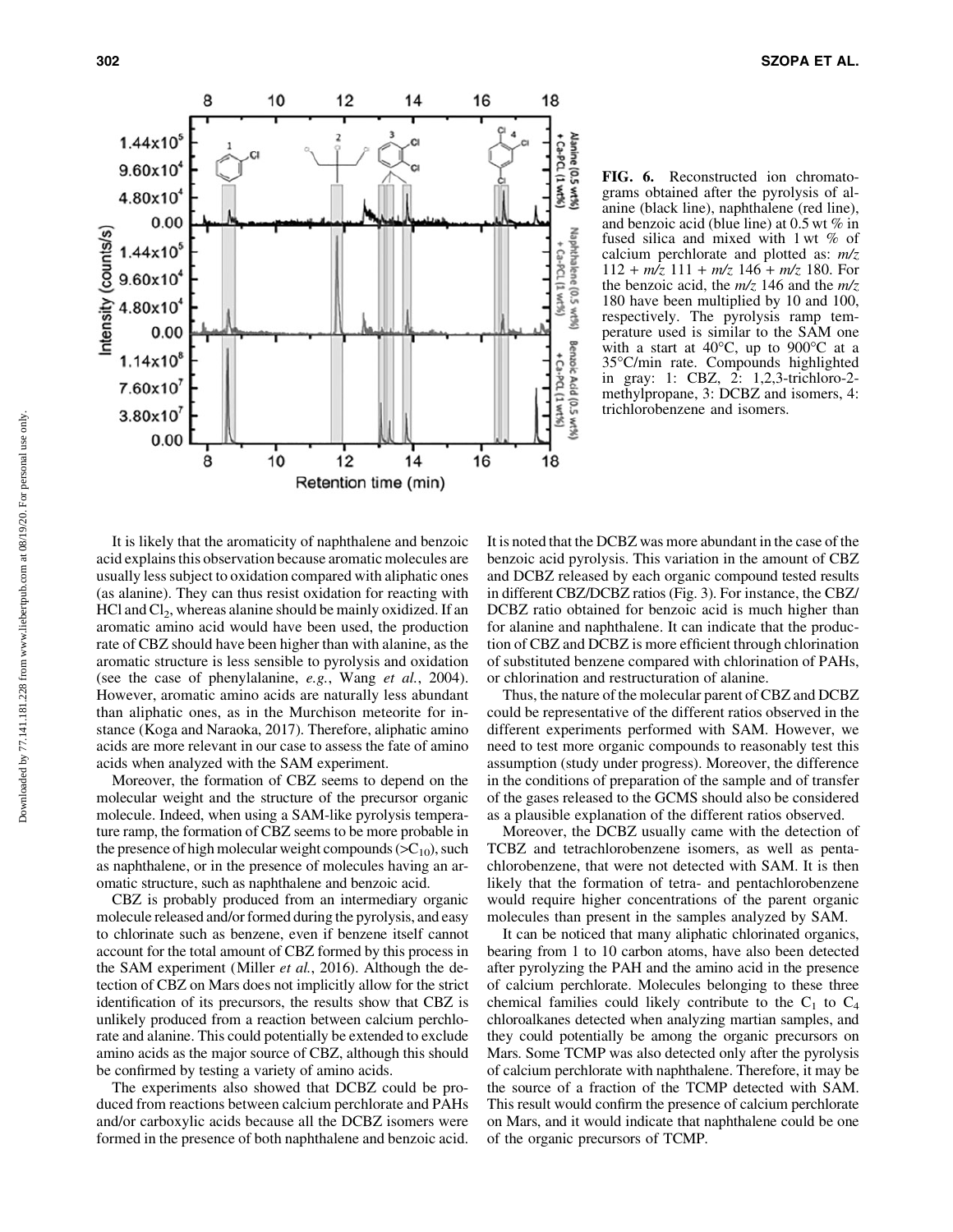

FIG. 6. Reconstructed ion chromatograms obtained after the pyrolysis of alanine (black line), naphthalene (red line), and benzoic acid (blue line) at 0.5 wt % in fused silica and mixed with 1 wt % of calcium perchlorate and plotted as: *m/z*  $112 + m/z$  111 +  $m/z$  146 +  $m/z$  180. For the benzoic acid, the *m/z* 146 and the *m/z* 180 have been multiplied by 10 and 100, respectively. The pyrolysis ramp temperature used is similar to the SAM one with a start at  $40^{\circ}$ C, up to 900 $^{\circ}$ C at a 35°C/min rate. Compounds highlighted in gray: 1: CBZ, 2: 1,2,3-trichloro-2 methylpropane, 3: DCBZ and isomers, 4: trichlorobenzene and isomers.

It is likely that the aromaticity of naphthalene and benzoic acid explains this observation because aromatic molecules are usually less subject to oxidation compared with aliphatic ones (as alanine). They can thus resist oxidation for reacting with  $HCl$  and  $Cl<sub>2</sub>$ , whereas alanine should be mainly oxidized. If an aromatic amino acid would have been used, the production rate of CBZ should have been higher than with alanine, as the aromatic structure is less sensible to pyrolysis and oxidation (see the case of phenylalanine, *e.g.*, Wang *et al.*, 2004). However, aromatic amino acids are naturally less abundant than aliphatic ones, as in the Murchison meteorite for instance (Koga and Naraoka, 2017). Therefore, aliphatic amino acids are more relevant in our case to assess the fate of amino acids when analyzed with the SAM experiment.

Moreover, the formation of CBZ seems to depend on the molecular weight and the structure of the precursor organic molecule. Indeed, when using a SAM-like pyrolysis temperature ramp, the formation of CBZ seems to be more probable in the presence of high molecular weight compounds ( $>C_{10}$ ), such as naphthalene, or in the presence of molecules having an aromatic structure, such as naphthalene and benzoic acid.

CBZ is probably produced from an intermediary organic molecule released and/or formed during the pyrolysis, and easy to chlorinate such as benzene, even if benzene itself cannot account for the total amount of CBZ formed by this process in the SAM experiment (Miller *et al.*, 2016). Although the detection of CBZ on Mars does not implicitly allow for the strict identification of its precursors, the results show that CBZ is unlikely produced from a reaction between calcium perchlorate and alanine. This could potentially be extended to exclude amino acids as the major source of CBZ, although this should be confirmed by testing a variety of amino acids.

The experiments also showed that DCBZ could be produced from reactions between calcium perchlorate and PAHs and/or carboxylic acids because all the DCBZ isomers were formed in the presence of both naphthalene and benzoic acid.

It is noted that the DCBZ was more abundant in the case of the benzoic acid pyrolysis. This variation in the amount of CBZ and DCBZ released by each organic compound tested results in different CBZ/DCBZ ratios (Fig. 3). For instance, the CBZ/ DCBZ ratio obtained for benzoic acid is much higher than for alanine and naphthalene. It can indicate that the production of CBZ and DCBZ is more efficient through chlorination of substituted benzene compared with chlorination of PAHs, or chlorination and restructuration of alanine.

Thus, the nature of the molecular parent of CBZ and DCBZ could be representative of the different ratios observed in the different experiments performed with SAM. However, we need to test more organic compounds to reasonably test this assumption (study under progress). Moreover, the difference in the conditions of preparation of the sample and of transfer of the gases released to the GCMS should also be considered as a plausible explanation of the different ratios observed.

Moreover, the DCBZ usually came with the detection of TCBZ and tetrachlorobenzene isomers, as well as pentachlorobenzene, that were not detected with SAM. It is then likely that the formation of tetra- and pentachlorobenzene would require higher concentrations of the parent organic molecules than present in the samples analyzed by SAM.

It can be noticed that many aliphatic chlorinated organics, bearing from 1 to 10 carbon atoms, have also been detected after pyrolyzing the PAH and the amino acid in the presence of calcium perchlorate. Molecules belonging to these three chemical families could likely contribute to the  $C_1$  to  $C_4$ chloroalkanes detected when analyzing martian samples, and they could potentially be among the organic precursors on Mars. Some TCMP was also detected only after the pyrolysis of calcium perchlorate with naphthalene. Therefore, it may be the source of a fraction of the TCMP detected with SAM. This result would confirm the presence of calcium perchlorate on Mars, and it would indicate that naphthalene could be one of the organic precursors of TCMP.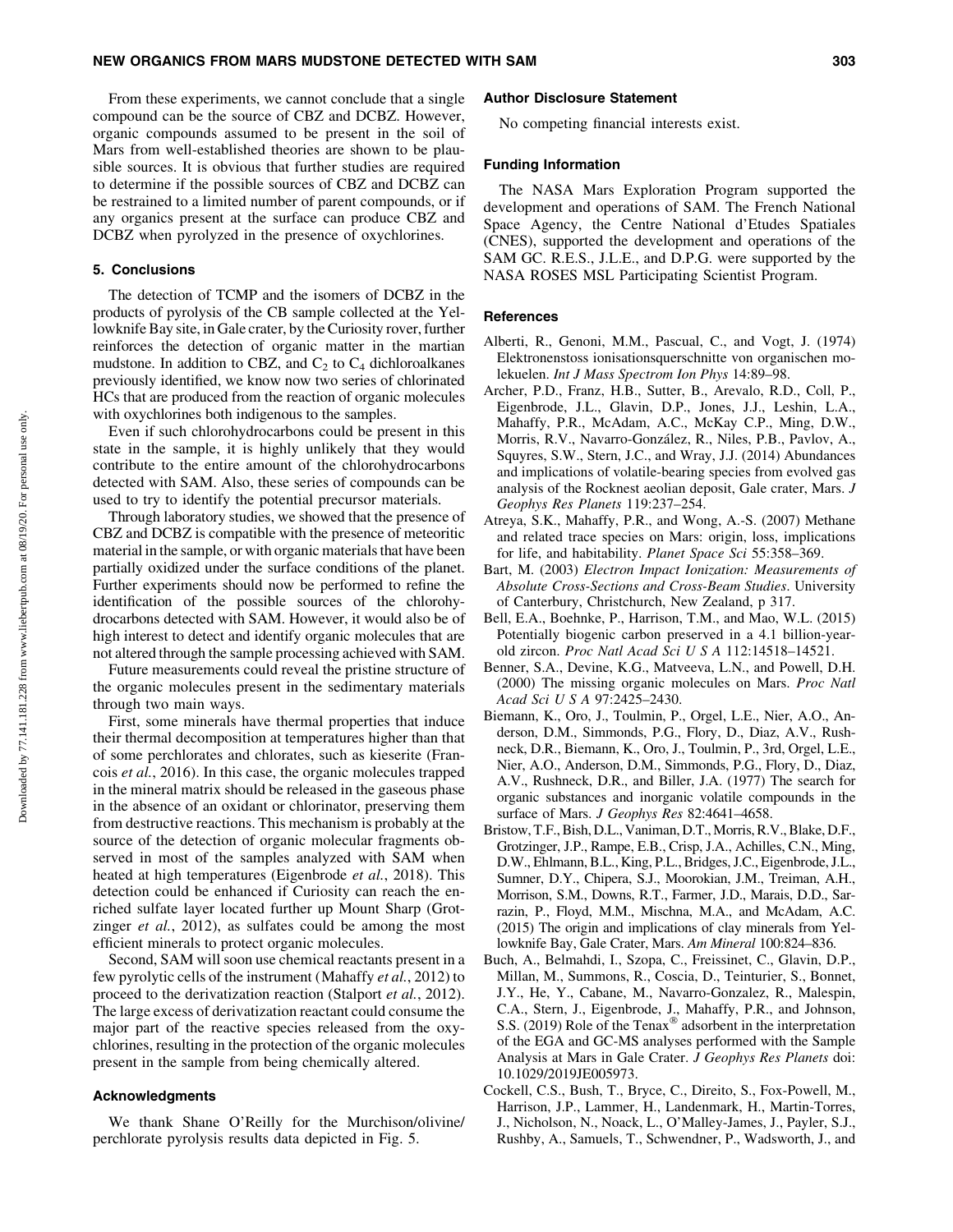From these experiments, we cannot conclude that a single compound can be the source of CBZ and DCBZ. However, organic compounds assumed to be present in the soil of Mars from well-established theories are shown to be plausible sources. It is obvious that further studies are required to determine if the possible sources of CBZ and DCBZ can be restrained to a limited number of parent compounds, or if any organics present at the surface can produce CBZ and DCBZ when pyrolyzed in the presence of oxychlorines.

#### 5. Conclusions

The detection of TCMP and the isomers of DCBZ in the products of pyrolysis of the CB sample collected at the Yellowknife Bay site, in Gale crater, by the Curiosity rover, further reinforces the detection of organic matter in the martian mudstone. In addition to CBZ, and  $C_2$  to  $C_4$  dichloroalkanes previously identified, we know now two series of chlorinated HCs that are produced from the reaction of organic molecules with oxychlorines both indigenous to the samples.

Even if such chlorohydrocarbons could be present in this state in the sample, it is highly unlikely that they would contribute to the entire amount of the chlorohydrocarbons detected with SAM. Also, these series of compounds can be used to try to identify the potential precursor materials.

Through laboratory studies, we showed that the presence of CBZ and DCBZ is compatible with the presence of meteoritic material in the sample, or with organic materials that have been partially oxidized under the surface conditions of the planet. Further experiments should now be performed to refine the identification of the possible sources of the chlorohydrocarbons detected with SAM. However, it would also be of high interest to detect and identify organic molecules that are not altered through the sample processing achieved with SAM.

Future measurements could reveal the pristine structure of the organic molecules present in the sedimentary materials through two main ways.

First, some minerals have thermal properties that induce their thermal decomposition at temperatures higher than that of some perchlorates and chlorates, such as kieserite (Francois *et al.*, 2016). In this case, the organic molecules trapped in the mineral matrix should be released in the gaseous phase in the absence of an oxidant or chlorinator, preserving them from destructive reactions. This mechanism is probably at the source of the detection of organic molecular fragments observed in most of the samples analyzed with SAM when heated at high temperatures (Eigenbrode *et al.*, 2018). This detection could be enhanced if Curiosity can reach the enriched sulfate layer located further up Mount Sharp (Grotzinger *et al.*, 2012), as sulfates could be among the most efficient minerals to protect organic molecules.

Second, SAM will soon use chemical reactants present in a few pyrolytic cells of the instrument (Mahaffy *et al.*, 2012) to proceed to the derivatization reaction (Stalport *et al.*, 2012). The large excess of derivatization reactant could consume the major part of the reactive species released from the oxychlorines, resulting in the protection of the organic molecules present in the sample from being chemically altered.

## Acknowledgments

We thank Shane O'Reilly for the Murchison/olivine/ perchlorate pyrolysis results data depicted in Fig. 5.

#### Author Disclosure Statement

No competing financial interests exist.

### Funding Information

The NASA Mars Exploration Program supported the development and operations of SAM. The French National Space Agency, the Centre National d'Etudes Spatiales (CNES), supported the development and operations of the SAM GC. R.E.S., J.L.E., and D.P.G. were supported by the NASA ROSES MSL Participating Scientist Program.

## **References**

- Alberti, R., Genoni, M.M., Pascual, C., and Vogt, J. (1974) Elektronenstoss ionisationsquerschnitte von organischen molekuelen. *Int J Mass Spectrom Ion Phys* 14:89–98.
- Archer, P.D., Franz, H.B., Sutter, B., Arevalo, R.D., Coll, P., Eigenbrode, J.L., Glavin, D.P., Jones, J.J., Leshin, L.A., Mahaffy, P.R., McAdam, A.C., McKay C.P., Ming, D.W., Morris, R.V., Navarro-González, R., Niles, P.B., Pavlov, A., Squyres, S.W., Stern, J.C., and Wray, J.J. (2014) Abundances and implications of volatile-bearing species from evolved gas analysis of the Rocknest aeolian deposit, Gale crater, Mars. *J Geophys Res Planets* 119:237–254.
- Atreya, S.K., Mahaffy, P.R., and Wong, A.-S. (2007) Methane and related trace species on Mars: origin, loss, implications for life, and habitability. *Planet Space Sci* 55:358–369.
- Bart, M. (2003) *Electron Impact Ionization: Measurements of Absolute Cross-Sections and Cross-Beam Studies*. University of Canterbury, Christchurch, New Zealand, p 317.
- Bell, E.A., Boehnke, P., Harrison, T.M., and Mao, W.L. (2015) Potentially biogenic carbon preserved in a 4.1 billion-yearold zircon. *Proc Natl Acad Sci U S A* 112:14518–14521.
- Benner, S.A., Devine, K.G., Matveeva, L.N., and Powell, D.H. (2000) The missing organic molecules on Mars. *Proc Natl Acad Sci U S A* 97:2425–2430.
- Biemann, K., Oro, J., Toulmin, P., Orgel, L.E., Nier, A.O., Anderson, D.M., Simmonds, P.G., Flory, D., Diaz, A.V., Rushneck, D.R., Biemann, K., Oro, J., Toulmin, P., 3rd, Orgel, L.E., Nier, A.O., Anderson, D.M., Simmonds, P.G., Flory, D., Diaz, A.V., Rushneck, D.R., and Biller, J.A. (1977) The search for organic substances and inorganic volatile compounds in the surface of Mars. *J Geophys Res* 82:4641–4658.
- Bristow, T.F., Bish, D.L., Vaniman, D.T., Morris, R.V., Blake, D.F., Grotzinger, J.P., Rampe, E.B., Crisp, J.A., Achilles, C.N., Ming, D.W., Ehlmann, B.L., King, P.L., Bridges, J.C., Eigenbrode, J.L., Sumner, D.Y., Chipera, S.J., Moorokian, J.M., Treiman, A.H., Morrison, S.M., Downs, R.T., Farmer, J.D., Marais, D.D., Sarrazin, P., Floyd, M.M., Mischna, M.A., and McAdam, A.C. (2015) The origin and implications of clay minerals from Yellowknife Bay, Gale Crater, Mars. *Am Mineral* 100:824–836.
- Buch, A., Belmahdi, I., Szopa, C., Freissinet, C., Glavin, D.P., Millan, M., Summons, R., Coscia, D., Teinturier, S., Bonnet, J.Y., He, Y., Cabane, M., Navarro-Gonzalez, R., Malespin, C.A., Stern, J., Eigenbrode, J., Mahaffy, P.R., and Johnson, S.S. (2019) Role of the Tenax<sup>®</sup> adsorbent in the interpretation of the EGA and GC-MS analyses performed with the Sample Analysis at Mars in Gale Crater. *J Geophys Res Planets* doi: 10.1029/2019JE005973.
- Cockell, C.S., Bush, T., Bryce, C., Direito, S., Fox-Powell, M., Harrison, J.P., Lammer, H., Landenmark, H., Martin-Torres, J., Nicholson, N., Noack, L., O'Malley-James, J., Payler, S.J., Rushby, A., Samuels, T., Schwendner, P., Wadsworth, J., and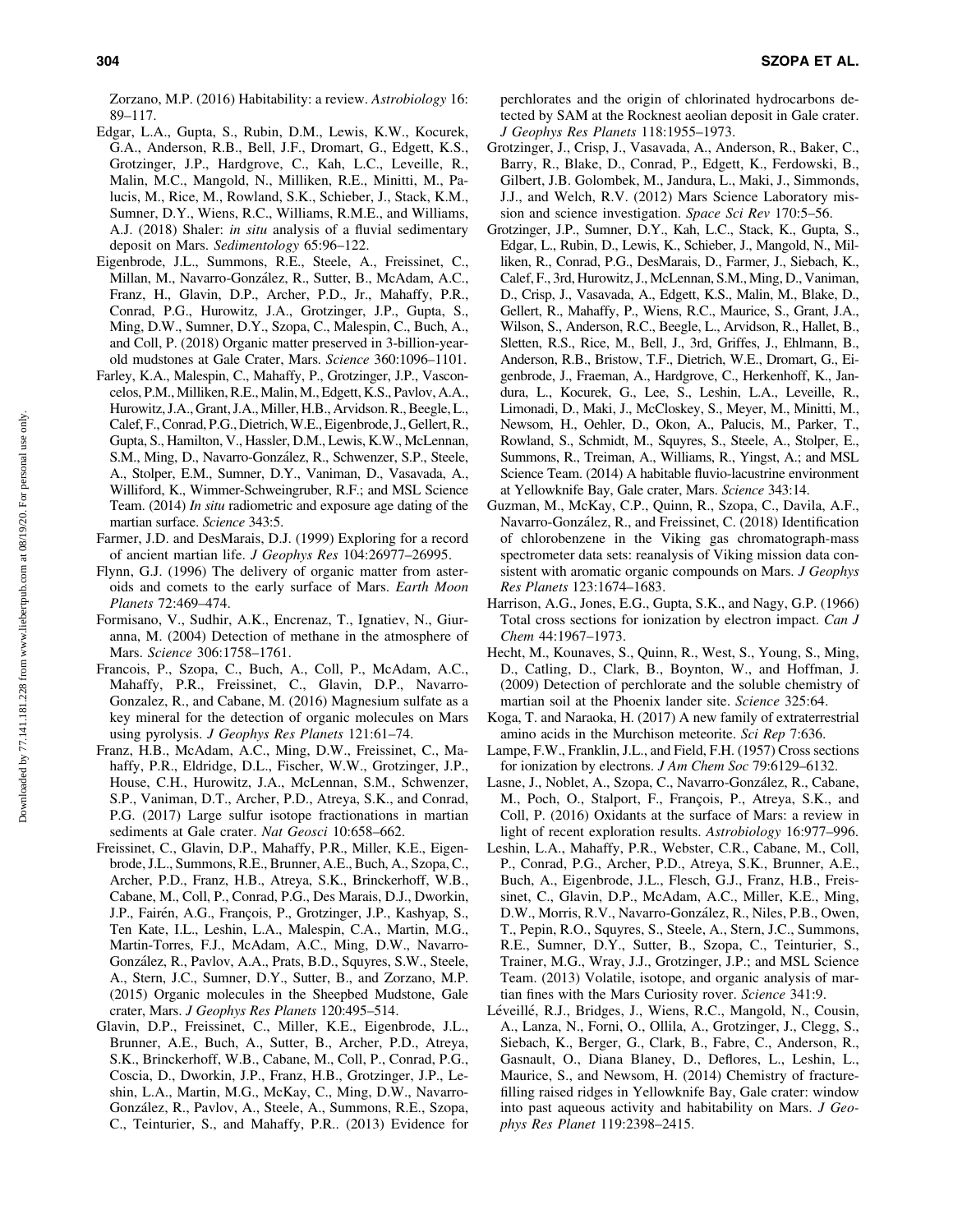Zorzano, M.P. (2016) Habitability: a review. *Astrobiology* 16: 89–117.

- Edgar, L.A., Gupta, S., Rubin, D.M., Lewis, K.W., Kocurek, G.A., Anderson, R.B., Bell, J.F., Dromart, G., Edgett, K.S., Grotzinger, J.P., Hardgrove, C., Kah, L.C., Leveille, R., Malin, M.C., Mangold, N., Milliken, R.E., Minitti, M., Palucis, M., Rice, M., Rowland, S.K., Schieber, J., Stack, K.M., Sumner, D.Y., Wiens, R.C., Williams, R.M.E., and Williams, A.J. (2018) Shaler: *in situ* analysis of a fluvial sedimentary deposit on Mars. *Sedimentology* 65:96–122.
- Eigenbrode, J.L., Summons, R.E., Steele, A., Freissinet, C., Millan, M., Navarro-González, R., Sutter, B., McAdam, A.C., Franz, H., Glavin, D.P., Archer, P.D., Jr., Mahaffy, P.R., Conrad, P.G., Hurowitz, J.A., Grotzinger, J.P., Gupta, S., Ming, D.W., Sumner, D.Y., Szopa, C., Malespin, C., Buch, A., and Coll, P. (2018) Organic matter preserved in 3-billion-yearold mudstones at Gale Crater, Mars. *Science* 360:1096–1101.
- Farley, K.A., Malespin, C., Mahaffy, P., Grotzinger, J.P., Vasconcelos, P.M., Milliken, R.E., Malin, M., Edgett, K.S., Pavlov, A.A., Hurowitz, J.A., Grant, J.A., Miller, H.B., Arvidson. R., Beegle, L., Calef, F., Conrad, P.G., Dietrich, W.E., Eigenbrode, J., Gellert, R., Gupta, S., Hamilton, V., Hassler, D.M., Lewis, K.W., McLennan, S.M., Ming, D., Navarro-Gonza´lez, R., Schwenzer, S.P., Steele, A., Stolper, E.M., Sumner, D.Y., Vaniman, D., Vasavada, A., Williford, K., Wimmer-Schweingruber, R.F.; and MSL Science Team. (2014) *In situ* radiometric and exposure age dating of the martian surface. *Science* 343:5.
- Farmer, J.D. and DesMarais, D.J. (1999) Exploring for a record of ancient martian life. *J Geophys Res* 104:26977–26995.
- Flynn, G.J. (1996) The delivery of organic matter from asteroids and comets to the early surface of Mars. *Earth Moon Planets* 72:469–474.
- Formisano, V., Sudhir, A.K., Encrenaz, T., Ignatiev, N., Giuranna, M. (2004) Detection of methane in the atmosphere of Mars. *Science* 306:1758–1761.
- Francois, P., Szopa, C., Buch, A., Coll, P., McAdam, A.C., Mahaffy, P.R., Freissinet, C., Glavin, D.P., Navarro-Gonzalez, R., and Cabane, M. (2016) Magnesium sulfate as a key mineral for the detection of organic molecules on Mars using pyrolysis. *J Geophys Res Planets* 121:61–74.
- Franz, H.B., McAdam, A.C., Ming, D.W., Freissinet, C., Mahaffy, P.R., Eldridge, D.L., Fischer, W.W., Grotzinger, J.P., House, C.H., Hurowitz, J.A., McLennan, S.M., Schwenzer, S.P., Vaniman, D.T., Archer, P.D., Atreya, S.K., and Conrad, P.G. (2017) Large sulfur isotope fractionations in martian sediments at Gale crater. *Nat Geosci* 10:658–662.
- Freissinet, C., Glavin, D.P., Mahaffy, P.R., Miller, K.E., Eigenbrode, J.L., Summons, R.E., Brunner, A.E., Buch, A., Szopa, C., Archer, P.D., Franz, H.B., Atreya, S.K., Brinckerhoff, W.B., Cabane, M., Coll, P., Conrad, P.G., Des Marais, D.J., Dworkin, J.P., Fairén, A.G., François, P., Grotzinger, J.P., Kashyap, S., Ten Kate, I.L., Leshin, L.A., Malespin, C.A., Martin, M.G., Martin-Torres, F.J., McAdam, A.C., Ming, D.W., Navarro-González, R., Pavlov, A.A., Prats, B.D., Squyres, S.W., Steele, A., Stern, J.C., Sumner, D.Y., Sutter, B., and Zorzano, M.P. (2015) Organic molecules in the Sheepbed Mudstone, Gale crater, Mars. *J Geophys Res Planets* 120:495–514.
- Glavin, D.P., Freissinet, C., Miller, K.E., Eigenbrode, J.L., Brunner, A.E., Buch, A., Sutter, B., Archer, P.D., Atreya, S.K., Brinckerhoff, W.B., Cabane, M., Coll, P., Conrad, P.G., Coscia, D., Dworkin, J.P., Franz, H.B., Grotzinger, J.P., Leshin, L.A., Martin, M.G., McKay, C., Ming, D.W., Navarro-González, R., Pavlov, A., Steele, A., Summons, R.E., Szopa, C., Teinturier, S., and Mahaffy, P.R.. (2013) Evidence for

perchlorates and the origin of chlorinated hydrocarbons detected by SAM at the Rocknest aeolian deposit in Gale crater. *J Geophys Res Planets* 118:1955–1973.

- Grotzinger, J., Crisp, J., Vasavada, A., Anderson, R., Baker, C., Barry, R., Blake, D., Conrad, P., Edgett, K., Ferdowski, B., Gilbert, J.B. Golombek, M., Jandura, L., Maki, J., Simmonds, J.J., and Welch, R.V. (2012) Mars Science Laboratory mission and science investigation. *Space Sci Rev* 170:5–56.
- Grotzinger, J.P., Sumner, D.Y., Kah, L.C., Stack, K., Gupta, S., Edgar, L., Rubin, D., Lewis, K., Schieber, J., Mangold, N., Milliken, R., Conrad, P.G., DesMarais, D., Farmer, J., Siebach, K., Calef, F., 3rd, Hurowitz, J., McLennan, S.M., Ming, D., Vaniman, D., Crisp, J., Vasavada, A., Edgett, K.S., Malin, M., Blake, D., Gellert, R., Mahaffy, P., Wiens, R.C., Maurice, S., Grant, J.A., Wilson, S., Anderson, R.C., Beegle, L., Arvidson, R., Hallet, B., Sletten, R.S., Rice, M., Bell, J., 3rd, Griffes, J., Ehlmann, B., Anderson, R.B., Bristow, T.F., Dietrich, W.E., Dromart, G., Eigenbrode, J., Fraeman, A., Hardgrove, C., Herkenhoff, K., Jandura, L., Kocurek, G., Lee, S., Leshin, L.A., Leveille, R., Limonadi, D., Maki, J., McCloskey, S., Meyer, M., Minitti, M., Newsom, H., Oehler, D., Okon, A., Palucis, M., Parker, T., Rowland, S., Schmidt, M., Squyres, S., Steele, A., Stolper, E., Summons, R., Treiman, A., Williams, R., Yingst, A.; and MSL Science Team. (2014) A habitable fluvio-lacustrine environment at Yellowknife Bay, Gale crater, Mars. *Science* 343:14.
- Guzman, M., McKay, C.P., Quinn, R., Szopa, C., Davila, A.F., Navarro-González, R., and Freissinet, C. (2018) Identification of chlorobenzene in the Viking gas chromatograph-mass spectrometer data sets: reanalysis of Viking mission data consistent with aromatic organic compounds on Mars. *J Geophys Res Planets* 123:1674–1683.
- Harrison, A.G., Jones, E.G., Gupta, S.K., and Nagy, G.P. (1966) Total cross sections for ionization by electron impact. *Can J Chem* 44:1967–1973.
- Hecht, M., Kounaves, S., Quinn, R., West, S., Young, S., Ming, D., Catling, D., Clark, B., Boynton, W., and Hoffman, J. (2009) Detection of perchlorate and the soluble chemistry of martian soil at the Phoenix lander site. *Science* 325:64.
- Koga, T. and Naraoka, H. (2017) A new family of extraterrestrial amino acids in the Murchison meteorite. *Sci Rep* 7:636.
- Lampe, F.W., Franklin, J.L., and Field, F.H. (1957) Cross sections for ionization by electrons. *J Am Chem Soc* 79:6129–6132.
- Lasne, J., Noblet, A., Szopa, C., Navarro-González, R., Cabane, M., Poch, O., Stalport, F., François, P., Atreya, S.K., and Coll, P. (2016) Oxidants at the surface of Mars: a review in light of recent exploration results. *Astrobiology* 16:977–996.
- Leshin, L.A., Mahaffy, P.R., Webster, C.R., Cabane, M., Coll, P., Conrad, P.G., Archer, P.D., Atreya, S.K., Brunner, A.E., Buch, A., Eigenbrode, J.L., Flesch, G.J., Franz, H.B., Freissinet, C., Glavin, D.P., McAdam, A.C., Miller, K.E., Ming, D.W., Morris, R.V., Navarro-González, R., Niles, P.B., Owen, T., Pepin, R.O., Squyres, S., Steele, A., Stern, J.C., Summons, R.E., Sumner, D.Y., Sutter, B., Szopa, C., Teinturier, S., Trainer, M.G., Wray, J.J., Grotzinger, J.P.; and MSL Science Team. (2013) Volatile, isotope, and organic analysis of martian fines with the Mars Curiosity rover. *Science* 341:9.
- Léveillé, R.J., Bridges, J., Wiens, R.C., Mangold, N., Cousin, A., Lanza, N., Forni, O., Ollila, A., Grotzinger, J., Clegg, S., Siebach, K., Berger, G., Clark, B., Fabre, C., Anderson, R., Gasnault, O., Diana Blaney, D., Deflores, L., Leshin, L., Maurice, S., and Newsom, H. (2014) Chemistry of fracturefilling raised ridges in Yellowknife Bay, Gale crater: window into past aqueous activity and habitability on Mars. *J Geophys Res Planet* 119:2398–2415.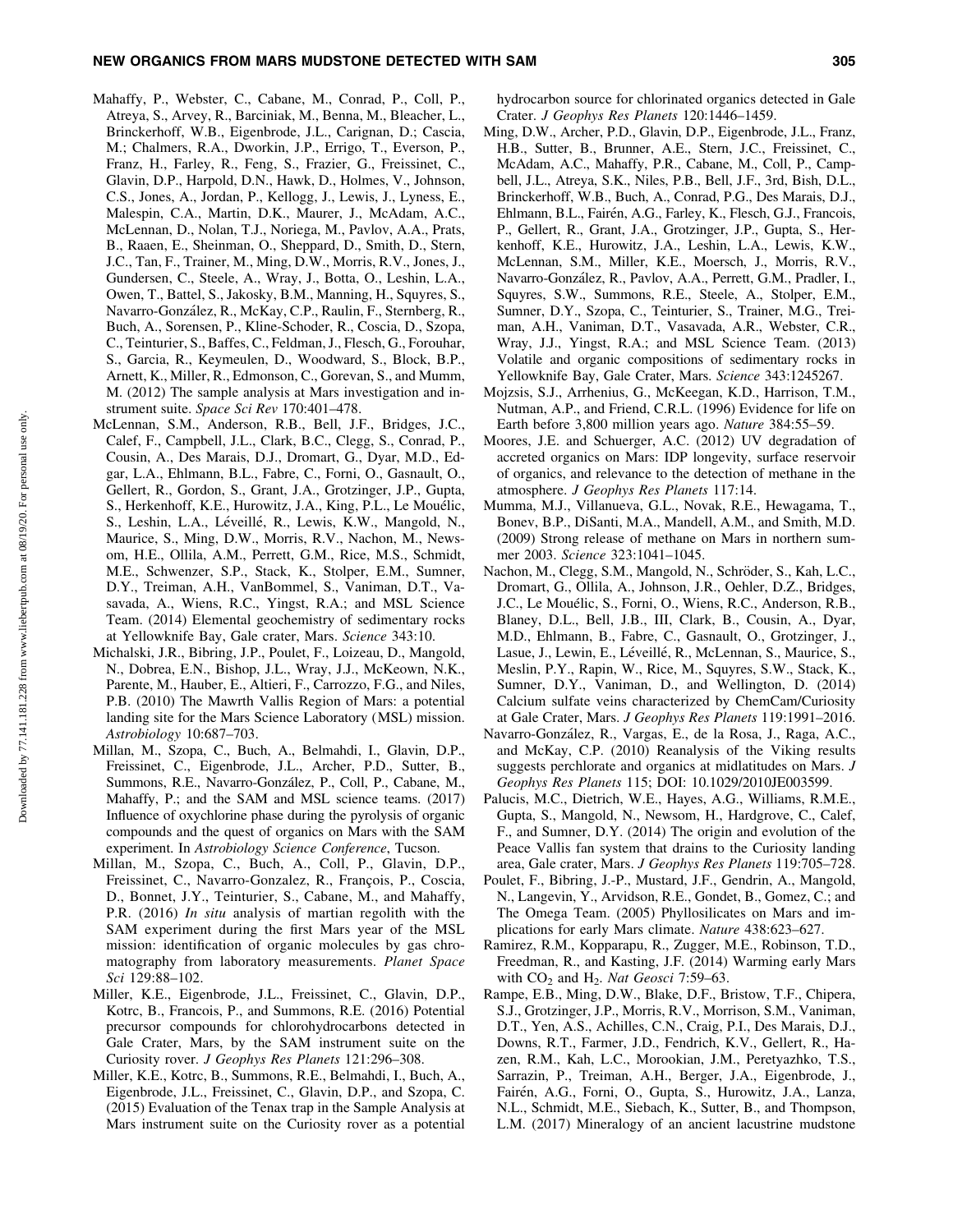- Mahaffy, P., Webster, C., Cabane, M., Conrad, P., Coll, P., Atreya, S., Arvey, R., Barciniak, M., Benna, M., Bleacher, L., Brinckerhoff, W.B., Eigenbrode, J.L., Carignan, D.; Cascia, M.; Chalmers, R.A., Dworkin, J.P., Errigo, T., Everson, P., Franz, H., Farley, R., Feng, S., Frazier, G., Freissinet, C., Glavin, D.P., Harpold, D.N., Hawk, D., Holmes, V., Johnson, C.S., Jones, A., Jordan, P., Kellogg, J., Lewis, J., Lyness, E., Malespin, C.A., Martin, D.K., Maurer, J., McAdam, A.C., McLennan, D., Nolan, T.J., Noriega, M., Pavlov, A.A., Prats, B., Raaen, E., Sheinman, O., Sheppard, D., Smith, D., Stern, J.C., Tan, F., Trainer, M., Ming, D.W., Morris, R.V., Jones, J., Gundersen, C., Steele, A., Wray, J., Botta, O., Leshin, L.A., Owen, T., Battel, S., Jakosky, B.M., Manning, H., Squyres, S., Navarro-González, R., McKay, C.P., Raulin, F., Sternberg, R., Buch, A., Sorensen, P., Kline-Schoder, R., Coscia, D., Szopa, C., Teinturier, S., Baffes, C., Feldman, J., Flesch, G., Forouhar, S., Garcia, R., Keymeulen, D., Woodward, S., Block, B.P., Arnett, K., Miller, R., Edmonson, C., Gorevan, S., and Mumm, M. (2012) The sample analysis at Mars investigation and instrument suite. *Space Sci Rev* 170:401–478.
- McLennan, S.M., Anderson, R.B., Bell, J.F., Bridges, J.C., Calef, F., Campbell, J.L., Clark, B.C., Clegg, S., Conrad, P., Cousin, A., Des Marais, D.J., Dromart, G., Dyar, M.D., Edgar, L.A., Ehlmann, B.L., Fabre, C., Forni, O., Gasnault, O., Gellert, R., Gordon, S., Grant, J.A., Grotzinger, J.P., Gupta, S., Herkenhoff, K.E., Hurowitz, J.A., King, P.L., Le Mouélic, S., Leshin, L.A., Léveillé, R., Lewis, K.W., Mangold, N., Maurice, S., Ming, D.W., Morris, R.V., Nachon, M., Newsom, H.E., Ollila, A.M., Perrett, G.M., Rice, M.S., Schmidt, M.E., Schwenzer, S.P., Stack, K., Stolper, E.M., Sumner, D.Y., Treiman, A.H., VanBommel, S., Vaniman, D.T., Vasavada, A., Wiens, R.C., Yingst, R.A.; and MSL Science Team. (2014) Elemental geochemistry of sedimentary rocks at Yellowknife Bay, Gale crater, Mars. *Science* 343:10.
- Michalski, J.R., Bibring, J.P., Poulet, F., Loizeau, D., Mangold, N., Dobrea, E.N., Bishop, J.L., Wray, J.J., McKeown, N.K., Parente, M., Hauber, E., Altieri, F., Carrozzo, F.G., and Niles, P.B. (2010) The Mawrth Vallis Region of Mars: a potential landing site for the Mars Science Laboratory (MSL) mission. *Astrobiology* 10:687–703.
- Millan, M., Szopa, C., Buch, A., Belmahdi, I., Glavin, D.P., Freissinet, C., Eigenbrode, J.L., Archer, P.D., Sutter, B., Summons, R.E., Navarro-González, P., Coll, P., Cabane, M., Mahaffy, P.; and the SAM and MSL science teams. (2017) Influence of oxychlorine phase during the pyrolysis of organic compounds and the quest of organics on Mars with the SAM experiment. In *Astrobiology Science Conference*, Tucson.
- Millan, M., Szopa, C., Buch, A., Coll, P., Glavin, D.P., Freissinet, C., Navarro-Gonzalez, R., François, P., Coscia, D., Bonnet, J.Y., Teinturier, S., Cabane, M., and Mahaffy, P.R. (2016) *In situ* analysis of martian regolith with the SAM experiment during the first Mars year of the MSL mission: identification of organic molecules by gas chromatography from laboratory measurements. *Planet Space Sci* 129:88–102.
- Miller, K.E., Eigenbrode, J.L., Freissinet, C., Glavin, D.P., Kotrc, B., Francois, P., and Summons, R.E. (2016) Potential precursor compounds for chlorohydrocarbons detected in Gale Crater, Mars, by the SAM instrument suite on the Curiosity rover. *J Geophys Res Planets* 121:296–308.
- Miller, K.E., Kotrc, B., Summons, R.E., Belmahdi, I., Buch, A., Eigenbrode, J.L., Freissinet, C., Glavin, D.P., and Szopa, C. (2015) Evaluation of the Tenax trap in the Sample Analysis at Mars instrument suite on the Curiosity rover as a potential

hydrocarbon source for chlorinated organics detected in Gale Crater. *J Geophys Res Planets* 120:1446–1459.

- Ming, D.W., Archer, P.D., Glavin, D.P., Eigenbrode, J.L., Franz, H.B., Sutter, B., Brunner, A.E., Stern, J.C., Freissinet, C., McAdam, A.C., Mahaffy, P.R., Cabane, M., Coll, P., Campbell, J.L., Atreya, S.K., Niles, P.B., Bell, J.F., 3rd, Bish, D.L., Brinckerhoff, W.B., Buch, A., Conrad, P.G., Des Marais, D.J., Ehlmann, B.L., Fairén, A.G., Farley, K., Flesch, G.J., Francois, P., Gellert, R., Grant, J.A., Grotzinger, J.P., Gupta, S., Herkenhoff, K.E., Hurowitz, J.A., Leshin, L.A., Lewis, K.W., McLennan, S.M., Miller, K.E., Moersch, J., Morris, R.V., Navarro-Gonza´lez, R., Pavlov, A.A., Perrett, G.M., Pradler, I., Squyres, S.W., Summons, R.E., Steele, A., Stolper, E.M., Sumner, D.Y., Szopa, C., Teinturier, S., Trainer, M.G., Treiman, A.H., Vaniman, D.T., Vasavada, A.R., Webster, C.R., Wray, J.J., Yingst, R.A.; and MSL Science Team. (2013) Volatile and organic compositions of sedimentary rocks in Yellowknife Bay, Gale Crater, Mars. *Science* 343:1245267.
- Mojzsis, S.J., Arrhenius, G., McKeegan, K.D., Harrison, T.M., Nutman, A.P., and Friend, C.R.L. (1996) Evidence for life on Earth before 3,800 million years ago. *Nature* 384:55–59.
- Moores, J.E. and Schuerger, A.C. (2012) UV degradation of accreted organics on Mars: IDP longevity, surface reservoir of organics, and relevance to the detection of methane in the atmosphere. *J Geophys Res Planets* 117:14.
- Mumma, M.J., Villanueva, G.L., Novak, R.E., Hewagama, T., Bonev, B.P., DiSanti, M.A., Mandell, A.M., and Smith, M.D. (2009) Strong release of methane on Mars in northern summer 2003. *Science* 323:1041–1045.
- Nachon, M., Clegg, S.M., Mangold, N., Schröder, S., Kah, L.C., Dromart, G., Ollila, A., Johnson, J.R., Oehler, D.Z., Bridges, J.C., Le Mouélic, S., Forni, O., Wiens, R.C., Anderson, R.B., Blaney, D.L., Bell, J.B., III, Clark, B., Cousin, A., Dyar, M.D., Ehlmann, B., Fabre, C., Gasnault, O., Grotzinger, J., Lasue, J., Lewin, E., Léveillé, R., McLennan, S., Maurice, S., Meslin, P.Y., Rapin, W., Rice, M., Squyres, S.W., Stack, K., Sumner, D.Y., Vaniman, D., and Wellington, D. (2014) Calcium sulfate veins characterized by ChemCam/Curiosity at Gale Crater, Mars. *J Geophys Res Planets* 119:1991–2016.
- Navarro-Gonza´lez, R., Vargas, E., de la Rosa, J., Raga, A.C., and McKay, C.P. (2010) Reanalysis of the Viking results suggests perchlorate and organics at midlatitudes on Mars. *J Geophys Res Planets* 115; DOI: 10.1029/2010JE003599.
- Palucis, M.C., Dietrich, W.E., Hayes, A.G., Williams, R.M.E., Gupta, S., Mangold, N., Newsom, H., Hardgrove, C., Calef, F., and Sumner, D.Y. (2014) The origin and evolution of the Peace Vallis fan system that drains to the Curiosity landing area, Gale crater, Mars. *J Geophys Res Planets* 119:705–728.
- Poulet, F., Bibring, J.-P., Mustard, J.F., Gendrin, A., Mangold, N., Langevin, Y., Arvidson, R.E., Gondet, B., Gomez, C.; and The Omega Team. (2005) Phyllosilicates on Mars and implications for early Mars climate. *Nature* 438:623–627.
- Ramirez, R.M., Kopparapu, R., Zugger, M.E., Robinson, T.D., Freedman, R., and Kasting, J.F. (2014) Warming early Mars with CO<sub>2</sub> and H<sub>2</sub>. *Nat Geosci* 7:59-63.
- Rampe, E.B., Ming, D.W., Blake, D.F., Bristow, T.F., Chipera, S.J., Grotzinger, J.P., Morris, R.V., Morrison, S.M., Vaniman, D.T., Yen, A.S., Achilles, C.N., Craig, P.I., Des Marais, D.J., Downs, R.T., Farmer, J.D., Fendrich, K.V., Gellert, R., Hazen, R.M., Kah, L.C., Morookian, J.M., Peretyazhko, T.S., Sarrazin, P., Treiman, A.H., Berger, J.A., Eigenbrode, J., Fairén, A.G., Forni, O., Gupta, S., Hurowitz, J.A., Lanza, N.L., Schmidt, M.E., Siebach, K., Sutter, B., and Thompson, L.M. (2017) Mineralogy of an ancient lacustrine mudstone